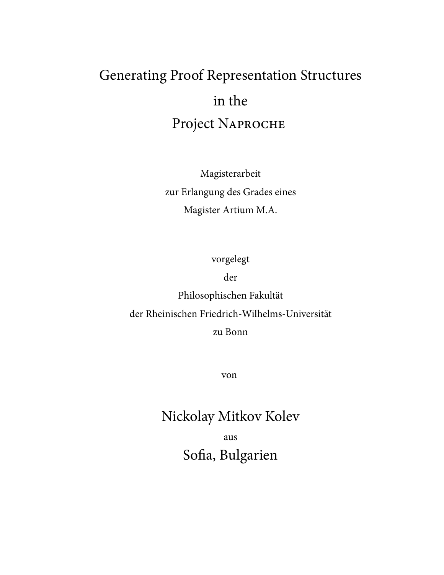# Generating Proof Representation Structures in the Project NAPROCHE

Magisterarbeit zur Erlangung des Grades eines Magister Artium M.A.

vorgelegt

der

Philosophischen Fakultät der Rheinischen Friedrich-Wilhelms-Universität zu Bonn

von

## Nickolay Mitkov Kolev

aus Sofia, Bulgarien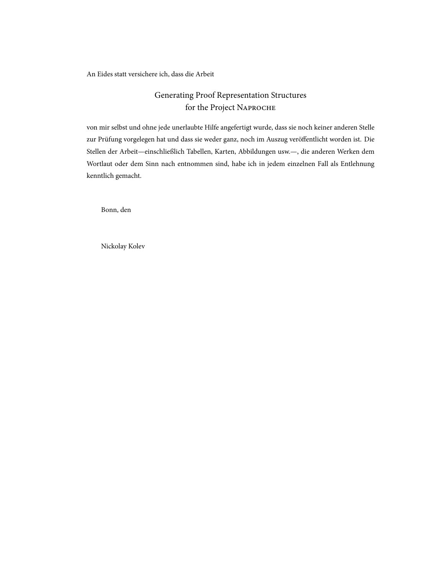An Eides statt versichere ich, dass die Arbeit

## Generating Proof Representation Structures for the Project N

von mir selbst und ohne jede unerlaubte Hilfe angefertigt wurde, dass sie noch keiner anderen Stelle zur Prüfung vorgelegen hat und dass sie weder ganz, noch im Auszug veröffentlicht worden ist. Die Stellen der Arbeit—einschließlich Tabellen, Karten, Abbildungen usw.—, die anderen Werken dem Wortlaut oder dem Sinn nach entnommen sind, habe ich in jedem einzelnen Fall als Entlehnung kenntlich gemacht.

Bonn, den

Nickolay Kolev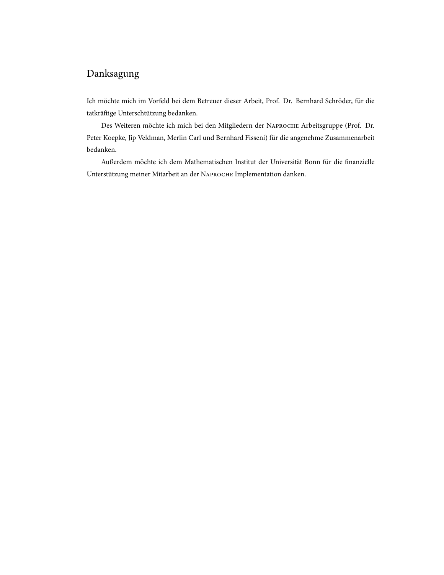## Danksagung

Ich möchte mich im Vorfeld bei dem Betreuer dieser Arbeit, Prof. Dr. Bernhard Schröder, für die tatkräige Unterschtützung bedanken.

Des Weiteren möchte ich mich bei den Mitgliedern der NAPROCHE Arbeitsgruppe (Prof. Dr. Peter Koepke, Jip Veldman, Merlin Carl und Bernhard Fisseni) für die angenehme Zusammenarbeit bedanken.

Außerdem möchte ich dem Mathematischen Institut der Universität Bonn für die finanzielle Unterstützung meiner Mitarbeit an der NAPROCHE Implementation danken.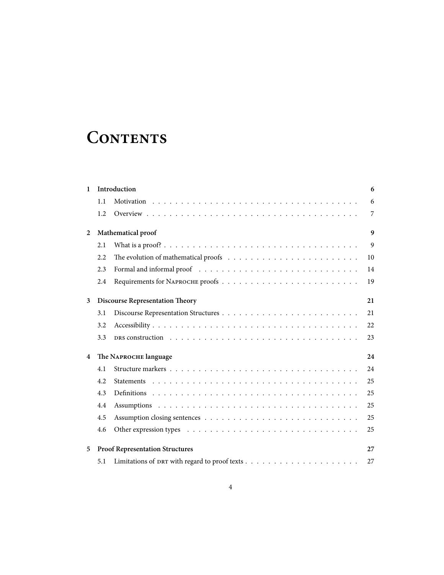## **CONTENTS**

| $\mathbf{1}$   |     | Introduction                                                                                                                                                                                                                   | 6                |
|----------------|-----|--------------------------------------------------------------------------------------------------------------------------------------------------------------------------------------------------------------------------------|------------------|
|                | 1.1 |                                                                                                                                                                                                                                | 6                |
|                | 1.2 |                                                                                                                                                                                                                                | 7                |
| $\overline{2}$ |     | Mathematical proof                                                                                                                                                                                                             | $\boldsymbol{q}$ |
|                | 2.1 |                                                                                                                                                                                                                                | 9                |
|                | 2.2 | The evolution of mathematical proofs $\ldots \ldots \ldots \ldots \ldots \ldots \ldots \ldots$                                                                                                                                 | 10               |
|                | 2.3 |                                                                                                                                                                                                                                | 14               |
|                | 2.4 |                                                                                                                                                                                                                                | 19               |
| 3              |     | <b>Discourse Representation Theory</b>                                                                                                                                                                                         | 21               |
|                | 3.1 |                                                                                                                                                                                                                                | 21               |
|                | 3.2 |                                                                                                                                                                                                                                | 22               |
|                | 3.3 | DRS construction (a) and (b) and (b) and (b) and (b) and (b) and (b) and (b) and (b) and (b) and (b) and (b) and (b) and (b) and (b) and (b) and (b) and (b) and (b) and (b) and (b) and (b) and (b) and (b) and (b) and (b) a | 23               |
| 4              |     | The NAPROCHE language                                                                                                                                                                                                          | 24               |
|                | 4.1 |                                                                                                                                                                                                                                | 24               |
|                | 4.2 |                                                                                                                                                                                                                                | 25               |
|                | 4.3 |                                                                                                                                                                                                                                | 25               |
|                | 4.4 |                                                                                                                                                                                                                                | 25               |
|                | 4.5 |                                                                                                                                                                                                                                | 25               |
|                | 4.6 |                                                                                                                                                                                                                                | 25               |
| 5              |     | <b>Proof Representation Structures</b>                                                                                                                                                                                         | 27               |
|                | 5.1 |                                                                                                                                                                                                                                | 27               |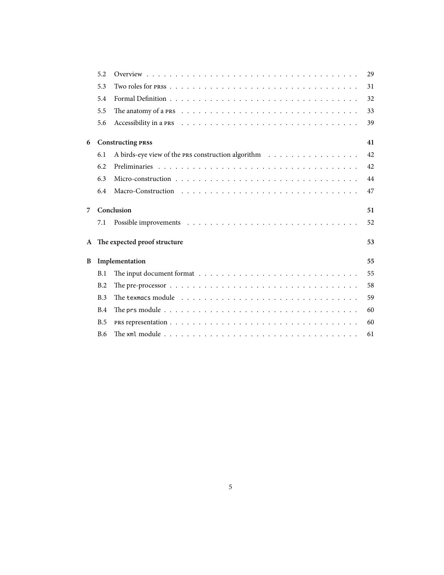|                | 5.2        |                                                                                                         | 29  |
|----------------|------------|---------------------------------------------------------------------------------------------------------|-----|
|                | 5.3        |                                                                                                         | 31  |
|                | 5.4        |                                                                                                         | 32  |
|                | 5.5        |                                                                                                         | 33  |
|                | 5.6        |                                                                                                         | 39  |
| 6              |            | <b>Constructing PRSS</b>                                                                                | 41  |
|                | 6.1        | A birds-eye view of the PRS construction algorithm                                                      | 42  |
|                | 6.2        |                                                                                                         | 42. |
|                | 6.3        |                                                                                                         | 44  |
|                | 6.4        |                                                                                                         | 47  |
| $\overline{7}$ |            | Conclusion                                                                                              | 51  |
|                | 7.1        |                                                                                                         | 52  |
| $\mathbf{A}$   |            | The expected proof structure                                                                            | 53  |
| B              |            | Implementation                                                                                          | 55  |
|                | B.1        | The input document format $\dots \dots \dots \dots \dots \dots \dots \dots \dots \dots \dots$           | 55  |
|                | B.2        | The pre-processor $\ldots \ldots \ldots \ldots \ldots \ldots \ldots \ldots \ldots \ldots \ldots \ldots$ | 58  |
|                | B.3        |                                                                                                         | 59  |
|                | B.4        |                                                                                                         | 60  |
|                | B.5        |                                                                                                         | 60  |
|                | <b>B.6</b> |                                                                                                         | 61  |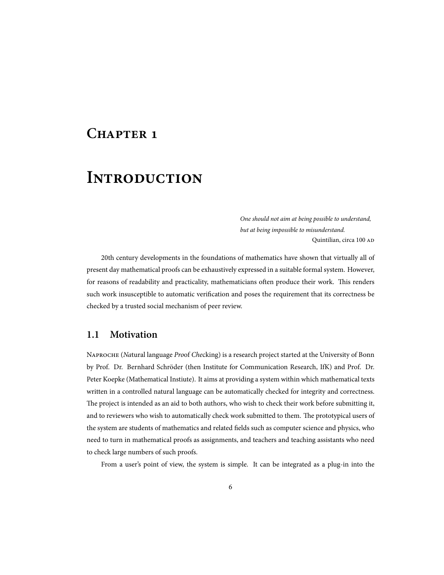## **CHAPTER 1**

## **INTRODUCTION**

*One should not aim at being possible to understand, but at being impossible to misunderstand.* Quintilian, circa 100

20th century developments in the foundations of mathematics have shown that virtually all of present day mathematical proofs can be exhaustively expressed in a suitable formal system. However, for reasons of readability and practicality, mathematicians often produce their work. This renders such work insusceptible to automatic verification and poses the requirement that its correctness be checked by a trusted social mechanism of peer review.

### **1.1 Motivation**

N (*Na*tural language *Pro*of *Che*cking) is a research project started at the University of Bonn by Prof. Dr. Bernhard Schröder (then Institute for Communication Research, IfK) and Prof. Dr. Peter Koepke (Mathematical Instiute). It aims at providing a system within which mathematical texts written in a controlled natural language can be automatically checked for integrity and correctness. The project is intended as an aid to both authors, who wish to check their work before submitting it, and to reviewers who wish to automatically check work submitted to them. The prototypical users of the system are students of mathematics and related fields such as computer science and physics, who need to turn in mathematical proofs as assignments, and teachers and teaching assistants who need to check large numbers of such proofs.

From a user's point of view, the system is simple. It can be integrated as a plug-in into the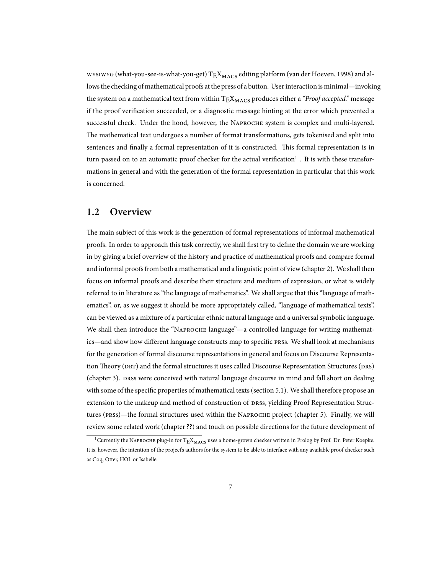wysiwyG (what-you-see-is-what-you-get)  $T_{\rm E}X_{\rm MACS}$  editing platform (van der Hoeven, 1998) and allows the checking of mathematical proofs at the press of a button. User interaction is minimal—invoking the system on a mathematical text from within T<sub>E</sub>X<sub>MACS</sub> produces either a *"Proof accepted.*" message if the proof verification succeeded, or a diagnostic message hinting at the error which prevented a successful check. Under the hood, however, the NAPROCHE system is complex and multi-layered. The mathematical text undergoes a number of format transformations, gets tokenised and split into sentences and finally a formal representation of it is constructed. This formal representation is in turn passed on to an automatic proof checker for the actual verification $^1$  . It is with these transformations in general and with the generation of the formal representation in particular that this work is concerned.

### **1.2 Overview**

The main subject of this work is the generation of formal representations of informal mathematical proofs. In order to approach this task correctly, we shall first try to define the domain we are working in by giving a brief overview of the history and practice of mathematical proofs and compare formal and informal proofs from both a mathematical and a linguistic point of view (chapter 2). We shall then focus on informal proofs and describe their structure and medium of expression, or what is widely referred to in literature as "the language of mathematics". We shall argue that this "language of mathematics", or, as we suggest it should be more appropriately called, "language of mathematical texts", can be viewed as a mixture of a particular ethnic natural language and a universal symbolic language. We shall then introduce the "NAPROCHE language"—a controlled language for writing mathematics—and show how different language constructs map to specific press. We shall look at mechanisms for the generation of formal discourse representations in general and focus on Discourse Representation Theory (DRT) and the formal structures it uses called Discourse Representation Structures (DRS) (chapter 3). DRSS were conceived with natural language discourse in mind and fall short on dealing with some of the specific properties of mathematical texts (section 5.1). We shall therefore propose an extension to the makeup and method of construction of DRSS, yielding Proof Representation Structures (PRSS)—the formal structures used within the NAPROCHE project (chapter 5). Finally, we will review some related work (chapter**??**) and touch on possible directions for the future development of

 $^1$ Currently the NAPROCHE plug-in for  $\text{TE} \text{X}_{\text{MACS}}$  uses a home-grown checker written in Prolog by Prof. Dr. Peter Koepke. It is, however, the intention of the project's authors for the system to be able to interface with any available proof checker such as Coq, Otter, HOL or Isabelle.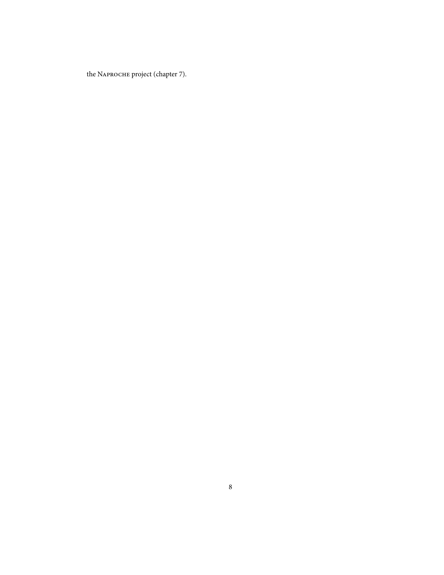the NAPROCHE project (chapter 7).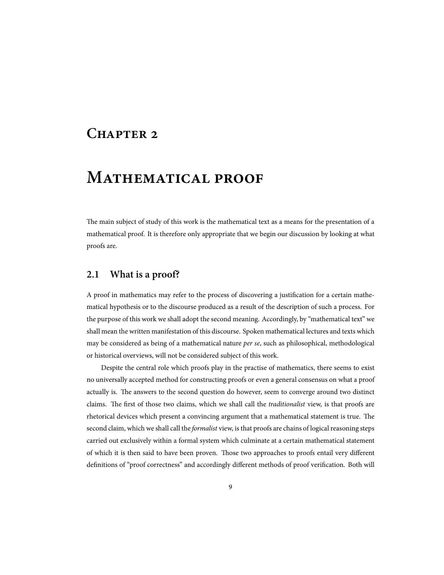## **CHAPTER 2**

## **MATHEMATICAL PROOF**

The main subject of study of this work is the mathematical text as a means for the presentation of a mathematical proof. It is therefore only appropriate that we begin our discussion by looking at what proofs are.

### **2.1 What is a proof?**

A proof in mathematics may refer to the process of discovering a justification for a certain mathematical hypothesis or to the discourse produced as a result of the description of such a process. For the purpose of this work we shall adopt the second meaning. Accordingly, by "mathematical text" we shall mean the written manifestation of this discourse. Spoken mathematical lectures and texts which may be considered as being of a mathematical nature *per se*, such as philosophical, methodological or historical overviews, will not be considered subject of this work.

Despite the central role which proofs play in the practise of mathematics, there seems to exist no universally accepted method for constructing proofs or even a general consensus on what a proof actually is. The answers to the second question do however, seem to converge around two distinct claims. The first of those two claims, which we shall call the *traditionalist* view, is that proofs are rhetorical devices which present a convincing argument that a mathematical statement is true. The second claim, which we shall call the *formalist* view, is that proofs are chains of logical reasoning steps carried out exclusively within a formal system which culminate at a certain mathematical statement of which it is then said to have been proven. Those two approaches to proofs entail very different definitions of "proof correctness" and accordingly different methods of proof verification. Both will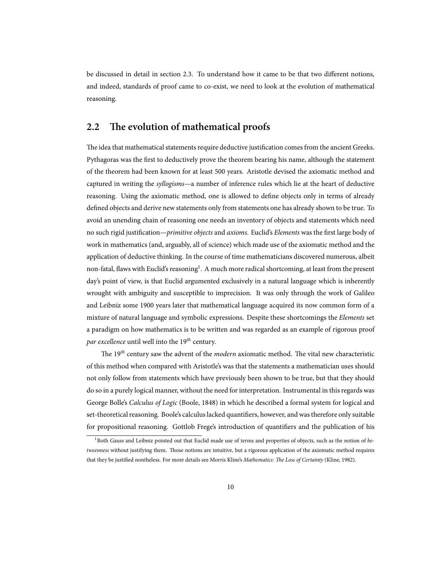be discussed in detail in section 2.3. To understand how it came to be that two different notions, and indeed, standards of proof came to co-exist, we need to look at the evolution of mathematical reasoning.

### 2.2 The evolution of mathematical proofs

The idea that mathematical statements require deductive justification comes from the ancient Greeks. Pythagoras was the first to deductively prove the theorem bearing his name, although the statement of the theorem had been known for at least 500 years. Aristotle devised the axiomatic method and captured in writing the *syllogisms*—a number of inference rules which lie at the heart of deductive reasoning. Using the axiomatic method, one is allowed to define objects only in terms of already defined objects and derive new statements only from statements one has already shown to be true. To avoid an unending chain of reasoning one needs an inventory of objects and statements which need no such rigid justification—*primitive objects* and *axioms*. Euclid's *Elements* was the first large body of work in mathematics (and, arguably, all of science) which made use of the axiomatic method and the application of deductive thinking. In the course of time mathematicians discovered numerous, albeit non-fatal, flaws with Euclid's reasoning<sup>1</sup>. A much more radical shortcoming, at least from the present day's point of view, is that Euclid argumented exclusively in a natural language which is inherently wrought with ambiguity and susceptible to imprecision. It was only through the work of Galileo and Leibniz some 1900 years later that mathematical language acquired its now common form of a mixture of natural language and symbolic expressions. Despite these shortcomings the *Elements* set a paradigm on how mathematics is to be written and was regarded as an example of rigorous proof *par excellence* until well into the 19*th* century.

The 19<sup>th</sup> century saw the advent of the *modern* axiomatic method. The vital new characteristic of this method when compared with Aristotle's was that the statements a mathematician uses should not only follow from statements which have previously been shown to be true, but that they should do so in a purely logical manner, without the need for interpretation. Instrumental in this regards was George Bolle's *Calculus of Logic* (Boole, 1848) in which he described a formal system for logical and set-theoretical reasoning. Boole's calculus lacked quantifiers, however, and was therefore only suitable for propositional reasoning. Gottlob Frege's introduction of quantifiers and the publication of his

<sup>&</sup>lt;sup>1</sup>Both Gauss and Leibniz pointed out that Euclid made use of terms and properties of objects, such as the notion of *betweenness* without justifying them. Those notions are intuitive, but a rigorous application of the axiomatic method requires that they be justified nontheless. For more details see Morris Kline's Mathematics: The Loss of Certainty (Kline, 1982).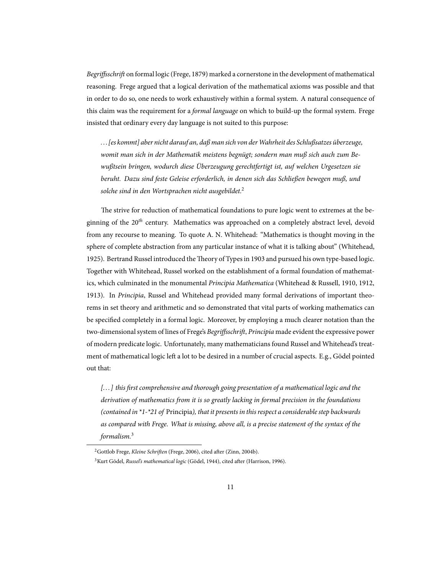*Begriffsschrift* on formal logic (Frege, 1879) marked a cornerstone in the development of mathematical reasoning. Frege argued that a logical derivation of the mathematical axioms was possible and that in order to do so, one needs to work exhaustively within a formal system. A natural consequence of this claim was the requirement for a *formal language* on which to build-up the formal system. Frege insisted that ordinary every day language is not suited to this purpose:

*... [es kommt] aber nicht darauf an, daß man sich von derWahrheit des Schlußsatzes überzeuge, womit man sich in der Mathematik meistens begnügt; sondern man muß sich auch zum Bewußtsein bringen, wodurch diese Überzeugung gerechtfertigt ist, auf welchen Urgesetzen sie beruht. Dazu sind feste Geleise erforderlich, in denen sich das Schließen bewegen muß, und solche sind in den Wortsprachen nicht ausgebildet.*<sup>2</sup>

The strive for reduction of mathematical foundations to pure logic went to extremes at the beginning of the 20*th* century. Mathematics was approached on a completely abstract level, devoid from any recourse to meaning. To quote A. N. Whitehead: "Mathematics is thought moving in the sphere of complete abstraction from any particular instance of what it is talking about" (Whitehead, 1925). Bertrand Russel introduced the Theory of Types in 1903 and pursued his own type-based logic. Together with Whitehead, Russel worked on the establishment of a formal foundation of mathematics, which culminated in the monumental *Principia Mathematica* (Whitehead & Russell, 1910, 1912, 1913). In *Principia*, Russel and Whitehead provided many formal derivations of important theorems in set theory and arithmetic and so demonstrated that vital parts of working mathematics can be specified completely in a formal logic. Moreover, by employing a much clearer notation than the two-dimensional system of lines of Frege's *Begriffsschrift*, *Principia* made evident the expressive power of modern predicate logic. Unfortunately, many mathematicians found Russel and Whitehead's treatment of mathematical logic left a lot to be desired in a number of crucial aspects. E.g., Gödel pointed out that:

*[... ] this first comprehensive and thorough going presentation of a mathematical logic and the derivation of mathematics from it is so greatly lacking in formal precision in the foundations (contained in \*1-\*21 of* Principia*), that it presents in this respect a considerable step backwards as compared with Frege. What is missing, above all, is a precise statement of the syntax of the formalism.*<sup>3</sup>

<sup>&</sup>lt;sup>2</sup>Gottlob Frege, *Kleine Schriften* (Frege, 2006), cited after (Zinn, 2004b).

<sup>&</sup>lt;sup>3</sup> Kurt Gödel, *Russel's mathematical logic* (Gödel, 1944), cited after (Harrison, 1996).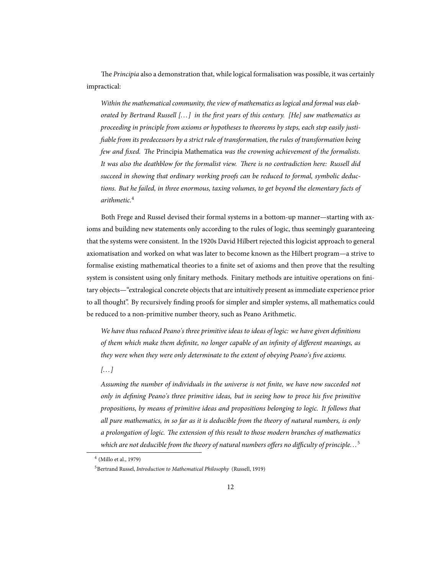e *Principia* also a demonstration that, while logical formalisation was possible, it was certainly impractical:

*Within the mathematical community, the view of mathematics as logical and formal was elaborated by Bertrand Russell [... ] in the first years of this century. [He] saw mathematics as proceeding in principle from axioms or hypotheses to theorems by steps, each step easily justifiable from its predecessors by a strict rule of transformation, the rules of transformation being few and fixed. The Principia Mathematica was the crowning achievement of the formalists.* It was also the deathblow for the formalist view. There is no contradiction here: Russell did *succeed in showing that ordinary working proofs can be reduced to formal, symbolic deductions. But he failed, in three enormous, taxing volumes, to get beyond the elementary facts of arithmetic.*<sup>4</sup>

Both Frege and Russel devised their formal systems in a bottom-up manner—starting with axioms and building new statements only according to the rules of logic, thus seemingly guaranteeing that the systems were consistent. In the 1920s David Hilbert rejected this logicist approach to general axiomatisation and worked on what was later to become known as the Hilbert program—a strive to formalise existing mathematical theories to a finite set of axioms and then prove that the resulting system is consistent using only finitary methods. Finitary methods are intuitive operations on finitary objects—"extralogical concrete objects that are intuitively present as immediate experience prior to all thought". By recursively finding proofs for simpler and simpler systems, all mathematics could be reduced to a non-primitive number theory, such as Peano Arithmetic.

*We have thus reduced Peano's three primitive ideas to ideas of logic: we have given definitions of them which make them definite, no longer capable of an infinity of different meanings, as they were when they were only determinate to the extent of obeying Peano's five axioms.*

*[... ]*

*Assuming the number of individuals in the universe is not finite, we have now succeded not only in defining Peano's three primitive ideas, but in seeing how to proce his five primitive propositions, by means of primitive ideas and propositions belonging to logic. It follows that all pure mathematics, in so far as it is deducible from the theory of natural numbers, is only a prolongation of logic. The extension of this result to those modern branches of mathematics which are not deducible from the theory of natural numbers offers no difficulty of principle...*<sup>5</sup>

<sup>4</sup> (Millo et al., 1979)

<sup>5</sup>Bertrand Russel, *Introduction to Mathematical Philosophy* (Russell, 1919)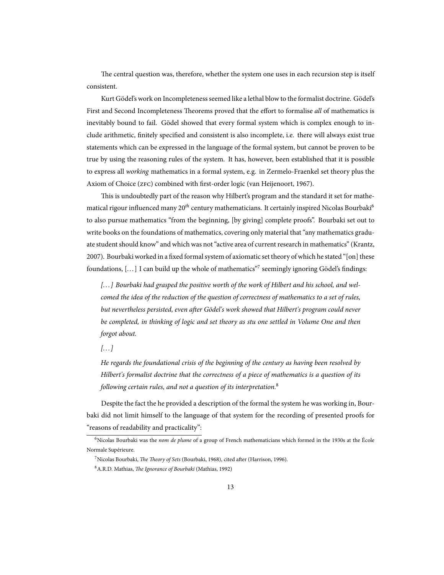The central question was, therefore, whether the system one uses in each recursion step is itself consistent.

Kurt Gödel's work on Incompleteness seemed like a lethal blow to the formalist doctrine. Gödel's First and Second Incompleteness Theorems proved that the effort to formalise *all* of mathematics is inevitably bound to fail. Gödel showed that every formal system which is complex enough to include arithmetic, finitely specified and consistent is also incomplete, i.e. there will always exist true statements which can be expressed in the language of the formal system, but cannot be proven to be true by using the reasoning rules of the system. It has, however, been established that it is possible to express all *working* mathematics in a formal system, e.g. in Zermelo-Fraenkel set theory plus the Axiom of Choice (ZFC) combined with first-order logic (van Heijenoort, 1967).

This is undoubtedly part of the reason why Hilbert's program and the standard it set for mathematical rigour influenced many 20<sup>th</sup> century mathematicians. It certainly inspired Nicolas Bourbaki<sup>6</sup> to also pursue mathematics "from the beginning, [by giving] complete proofs". Bourbaki set out to write books on the foundations of mathematics, covering only material that "any mathematics graduate student should know" and which was not "active area of current research in mathematics" (Krantz, 2007). Bourbaki worked in a fixed formal system of axiomatic set theory of which he stated "[on] these foundations, [...] I can build up the whole of mathematics"<sup>7</sup> seemingly ignoring Gödel's findings:

*[... ] Bourbaki had grasped the positive worth of the work of Hilbert and his school, and welcomed the idea of the reduction of the question of correctness of mathematics to a set of rules, but nevertheless persisted, even after Gödel's work showed that Hilbert's program could never be completed, in thinking of logic and set theory as stu one settled in Volume One and then forgot about.*

*[... ]*

*He regards the foundational crisis of the beginning of the century as having been resolved by Hilbert's formalist doctrine that the correctness of a piece of mathematics is a question of its following certain rules, and not a question of its interpretation.*<sup>8</sup>

Despite the fact the he provided a description of the formal the system he was working in, Bourbaki did not limit himself to the language of that system for the recording of presented proofs for "reasons of readability and practicality":

<sup>6</sup>Nicolas Bourbaki was the *nom de plume* of a group of French mathematicians which formed in the 1930s at the École Normale Supérieure.

<sup>&</sup>lt;sup>7</sup>Nicolas Bourbaki, *The Theory of Sets* (Bourbaki, 1968), cited after (Harrison, 1996).

<sup>8</sup> A.R.D. Mathias, *The Ignorance of Bourbaki* (Mathias, 1992)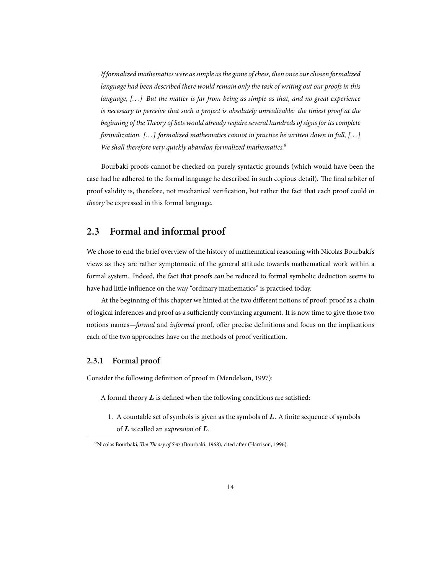*If formalized mathematics were as simple as the game of chess, then once our chosen formalized language had been described there would remain only the task of writing out our proofs in this language, [... ] But the matter is far from being as simple as that, and no great experience is necessary to perceive that such a project is absolutely unrealizable: the tiniest proof at the beginning of the Theory of Sets would already require several hundreds of signs for its complete formalization. [... ] formalized mathematics cannot in practice be written down in full, [... ] We shall therefore very quickly abandon formalized mathematics.*<sup>9</sup>

Bourbaki proofs cannot be checked on purely syntactic grounds (which would have been the case had he adhered to the formal language he described in such copious detail). The final arbiter of proof validity is, therefore, not mechanical verification, but rather the fact that each proof could *in theory* be expressed in this formal language.

### **2.3 Formal and informal proof**

We chose to end the brief overview of the history of mathematical reasoning with Nicolas Bourbaki's views as they are rather symptomatic of the general attitude towards mathematical work within a formal system. Indeed, the fact that proofs *can* be reduced to formal symbolic deduction seems to have had little influence on the way "ordinary mathematics" is practised today.

At the beginning of this chapter we hinted at the two different notions of proof: proof as a chain of logical inferences and proof as a sufficiently convincing argument. It is now time to give those two notions names—*formal* and *informal* proof, offer precise definitions and focus on the implications each of the two approaches have on the methods of proof verification.

#### **2.3.1 Formal proof**

Consider the following definition of proof in (Mendelson, 1997):

A formal theory *L* is defined when the following conditions are satisfied:

1. A countable set of symbols is given as the symbols of *L*. A finite sequence of symbols of *L* is called an *expression* of *L*.

<sup>&</sup>lt;sup>9</sup>Nicolas Bourbaki, *The Theory of Sets* (Bourbaki, 1968), cited after (Harrison, 1996).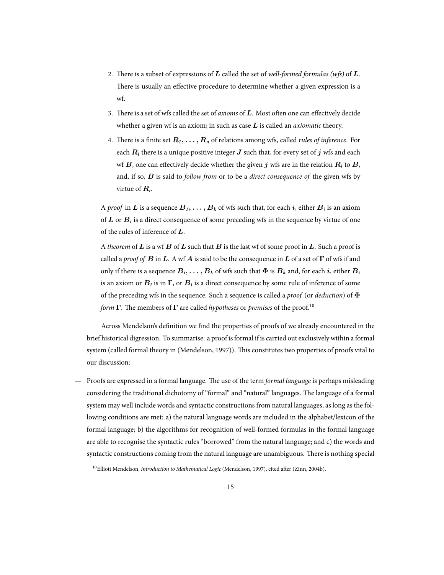- 2. There is a subset of expressions of  $L$  called the set of *well-formed formulas* (*wfs*) of  $L$ . There is usually an effective procedure to determine whether a given expression is a wf.
- 3. There is a set of wfs called the set of *axioms* of L. Most often one can effectively decide whether a given wf is an axiom; in such as case *L* is called an *axiomatic* theory.
- 4. There is a finite set  $R_1, \ldots, R_n$  of relations among wfs, called *rules of inference*. For each  $R_i$  there is a unique positive integer  $J$  such that, for every set of  $j$  wfs and each wf  $B$ , one can effectively decide whether the given  $j$  wfs are in the relation  $R_i$  to  $B$ , and, if so, *B* is said to *follow from* or to be a *direct consequence of* the given wfs by virtue of *R<sup>i</sup>* .

A *proof* in  $L$  is a sequence  $B_1,\ldots,B_k$  of wfs such that, for each  $i$ , either  $B_i$  is an axiom of  $L$  or  $B_i$  is a direct consequence of some preceding wfs in the sequence by virtue of one of the rules of inference of *L*.

A *theorem* of *L* is a wf *B* of *L* such that *B* is the last wf of some proof in *L*. Such a proof is called a *proof of B* in *L*. A wf *A* is said to be the consequence in *L* of a set of **Γ** of wfs if and only if there is a sequence  $B_i, \ldots, B_k$  of wfs such that  $\Phi$  is  $B_k$  and, for each *i*, either  $B_i$ is an axiom or  $B_i$  is in  $\Gamma$ , or  $B_i$  is a direct consequence by some rule of inference of some of the preceding wfs in the sequence. Such a sequence is called a *proof* (or *deduction*) of **Φ** *form* **Γ**. The members of **Γ** are called *hypotheses* or *premises* of the proof.<sup>10</sup>

Across Mendelson's definition we find the properties of proofs of we already encountered in the brief historical digression. To summarise: a proof is formal if is carried out exclusively within a formal system (called formal theory in (Mendelson, 1997)). This constitutes two properties of proofs vital to our discussion:

Proofs are expressed in a formal language. The use of the term *formal language* is perhaps misleading considering the traditional dichotomy of "formal" and "natural" languages. The language of a formal system may well include words and syntactic constructions from natural languages, as long as the following conditions are met: a) the natural language words are included in the alphabet/lexicon of the formal language; b) the algorithms for recognition of well-formed formulas in the formal language are able to recognise the syntactic rules "borrowed" from the natural language; and c) the words and syntactic constructions coming from the natural language are unambiguous. There is nothing special

<sup>&</sup>lt;sup>10</sup>Elliott Mendelson, *Introduction to Mathematical Logic* (Mendelson, 1997), cited after (Zinn, 2004b).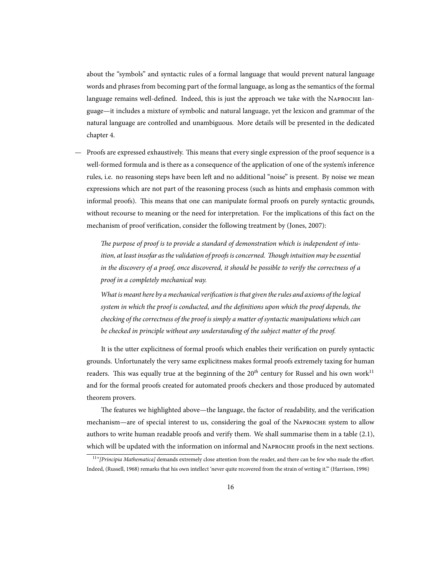about the "symbols" and syntactic rules of a formal language that would prevent natural language words and phrases from becoming part of the formal language, as long as the semantics of the formal language remains well-defined. Indeed, this is just the approach we take with the NAPROCHE language—it includes a mixture of symbolic and natural language, yet the lexicon and grammar of the natural language are controlled and unambiguous. More details will be presented in the dedicated chapter 4.

Proofs are expressed exhaustively. This means that every single expression of the proof sequence is a well-formed formula and is there as a consequence of the application of one of the system's inference rules, i.e. no reasoning steps have been left and no additional "noise" is present. By noise we mean expressions which are not part of the reasoning process (such as hints and emphasis common with informal proofs). This means that one can manipulate formal proofs on purely syntactic grounds, without recourse to meaning or the need for interpretation. For the implications of this fact on the mechanism of proof verification, consider the following treatment by (Jones, 2007):

*e purpose of proof is to provide a standard of demonstration which is independent of intuition, at least insofar as the validation of proofs is concerned. Though intuition may be essential in the discovery of a proof, once discovered, it should be possible to verify the correctness of a proof in a completely mechanical way.*

*What is meant here by a mechanical verification is that given the rules and axioms of the logical system in which the proof is conducted, and the definitions upon which the proof depends, the checking of the correctness of the proof is simply a matter of syntactic manipulations which can be checked in principle without any understanding of the subject matter of the proof.*

It is the utter explicitness of formal proofs which enables their verification on purely syntactic grounds. Unfortunately the very same explicitness makes formal proofs extremely taxing for human readers. This was equally true at the beginning of the 20<sup>th</sup> century for Russel and his own work<sup>11</sup> and for the formal proofs created for automated proofs checkers and those produced by automated theorem provers.

The features we highlighted above—the language, the factor of readability, and the verification mechanism—are of special interest to us, considering the goal of the NAPROCHE system to allow authors to write human readable proofs and verify them. We shall summarise them in a table (2.1), which will be updated with the information on informal and NAPROCHE proofs in the next sections.

<sup>&</sup>lt;sup>11"</sup> (Principia Mathematica] demands extremely close attention from the reader, and there can be few who made the effort. Indeed, (Russell, 1968) remarks that his own intellect 'never quite recovered from the strain of writing it.'" (Harrison, 1996)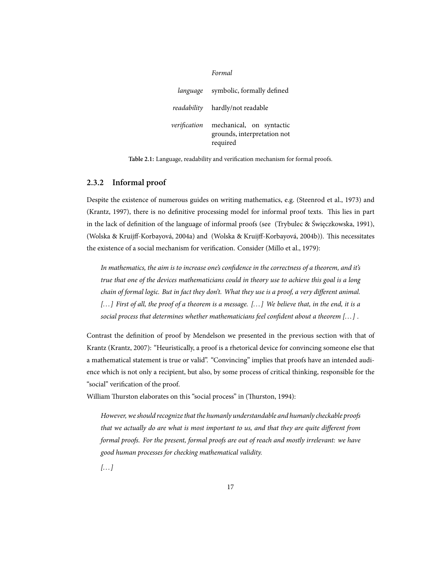|              | Formal                                                              |
|--------------|---------------------------------------------------------------------|
| language     | symbolic, formally defined                                          |
|              | <i>readability</i> hardly/not readable                              |
| verification | mechanical, on syntactic<br>grounds, interpretation not<br>required |

**Table 2.1:** Language, readability and verification mechanism for formal proofs.

#### **2.3.2 Informal proof**

Despite the existence of numerous guides on writing mathematics, e.g. (Steenrod et al., 1973) and (Krantz, 1997), there is no definitive processing model for informal proof texts. This lies in part in the lack of definition of the language of informal proofs (see (Trybulec & Święczkowska, 1991), (Wolska & Kruijff-Korbayová, 2004a) and (Wolska & Kruijff-Korbayová, 2004b)). This necessitates the existence of a social mechanism for verification. Consider (Millo et al., 1979):

*In mathematics, the aim is to increase one's confidence in the correctness of a theorem, and it's true that one of the devices mathematicians could in theory use to achieve this goal is a long chain of formal logic. But in fact they don't. What they use is a proof, a very different animal. [... ] First of all, the proof of a theorem is a message. [... ] We believe that, in the end, it is a social process that determines whether mathematicians feel confident about a theorem [... ] .*

Contrast the definition of proof by Mendelson we presented in the previous section with that of Krantz (Krantz, 2007): "Heuristically, a proof is a rhetorical device for convincing someone else that a mathematical statement is true or valid". "Convincing" implies that proofs have an intended audience which is not only a recipient, but also, by some process of critical thinking, responsible for the "social" verification of the proof.

William Thurston elaborates on this "social process" in (Thurston, 1994):

*However, we should recognize that the humanly understandable and humanly checkable proofs that we actually do are what is most important to us, and that they are quite different from formal proofs. For the present, formal proofs are out of reach and mostly irrelevant: we have good human processes for checking mathematical validity.*

*[... ]*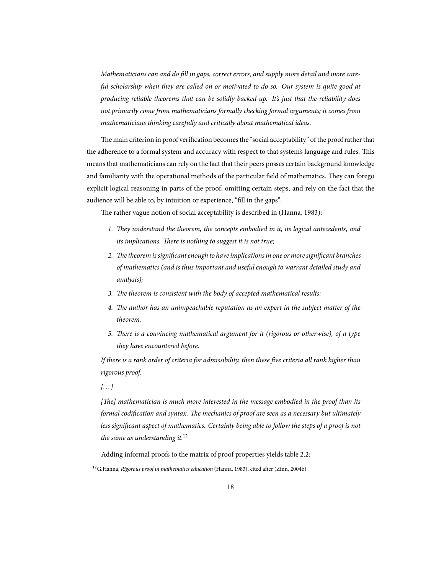*Mathematicians can and do fill in gaps, correct errors, and supply more detail and more careful scholarship when they are called on or motivated to do so. Our system is quite good at producing reliable theorems that can be solidly backed up. It's just that the reliability does not primarily come from mathematicians formally checking formal arguments; it comes from mathematicians thinking carefully and critically about mathematical ideas.*

The main criterion in proof verification becomes the "social acceptability" of the proof rather that the adherence to a formal system and accuracy with respect to that system's language and rules. This means that mathematicians can rely on the fact that their peers posses certain background knowledge and familiarity with the operational methods of the particular field of mathematics. They can forego explicit logical reasoning in parts of the proof, omitting certain steps, and rely on the fact that the audience will be able to, by intuition or experience, "fill in the gaps".

The rather vague notion of social acceptability is described in (Hanna, 1983):

- 1. They understand the theorem, the concepts embodied in it, its logical antecedents, and *its implications. There is nothing to suggest it is not true;*
- 2. The theorem is significant enough to have implications in one or more significant branches *of mathematics (and is thus important and useful enough to warrant detailed study and analysis);*
- 3. The theorem is consistent with the body of accepted mathematical results;
- 4. The author has an unimpeachable reputation as an expert in the subject matter of the *theorem.*
- *5. There is a convincing mathematical argument for it (rigorous or otherwise), of a type they have encountered before.*

*If there is a rank order of criteria for admissibility, then these five criteria all rank higher than rigorous proof.*

*[... ]*

[The] mathematician is much more interested in the message embodied in the proof than its *formal codification and syntax. The mechanics of proof are seen as a necessary but ultimately less significant aspect of mathematics. Certainly being able to follow the steps of a proof is not the same as understanding it.*<sup>12</sup>

Adding informal proofs to the matrix of proof properties yields table 2.2:

<sup>&</sup>lt;sup>12</sup>G.Hanna, *Rigorous proof in mathematics education* (Hanna, 1983), cited after (Zinn, 2004b)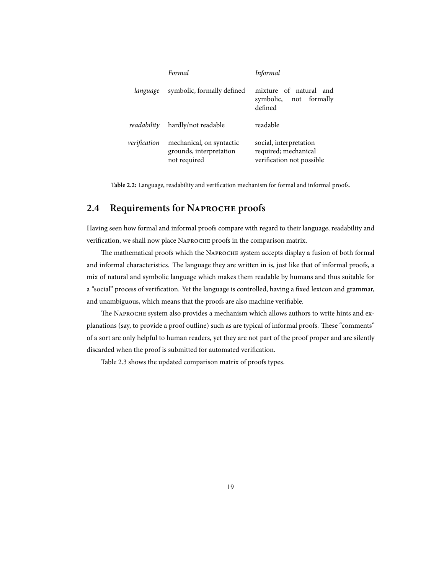|              | Formal                                                              | Informal                                                                    |
|--------------|---------------------------------------------------------------------|-----------------------------------------------------------------------------|
| language     | symbolic, formally defined                                          | mixture of natural and<br>symbolic, not formally<br>defined                 |
| readability  | hardly/not readable                                                 | readable                                                                    |
| verification | mechanical, on syntactic<br>grounds, interpretation<br>not required | social, interpretation<br>required; mechanical<br>verification not possible |

**Table 2.2:** Language, readability and verification mechanism for formal and informal proofs.

## 2.4 Requirements for NAPROCHE proofs

Having seen how formal and informal proofs compare with regard to their language, readability and verification, we shall now place NAPROCHE proofs in the comparison matrix.

The mathematical proofs which the NAPROCHE system accepts display a fusion of both formal and informal characteristics. The language they are written in is, just like that of informal proofs, a mix of natural and symbolic language which makes them readable by humans and thus suitable for a "social" process of verification. Yet the language is controlled, having a fixed lexicon and grammar, and unambiguous, which means that the proofs are also machine verifiable.

The NAPROCHE system also provides a mechanism which allows authors to write hints and explanations (say, to provide a proof outline) such as are typical of informal proofs. These "comments" of a sort are only helpful to human readers, yet they are not part of the proof proper and are silently discarded when the proof is submitted for automated verification.

Table 2.3 shows the updated comparison matrix of proofs types.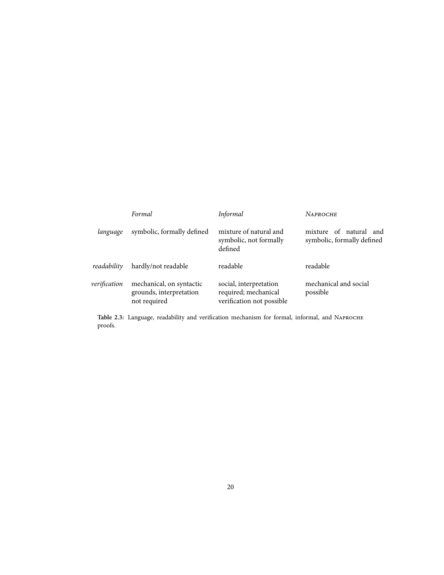|              | Formal                                                              | Informal                                                                    | <b>NAPROCHE</b>                                         |
|--------------|---------------------------------------------------------------------|-----------------------------------------------------------------------------|---------------------------------------------------------|
| language     | symbolic, formally defined                                          | mixture of natural and<br>symbolic, not formally<br>defined                 | mixture of natural<br>and<br>symbolic, formally defined |
| readability  | hardly/not readable                                                 | readable                                                                    | readable                                                |
| verification | mechanical, on syntactic<br>grounds, interpretation<br>not required | social, interpretation<br>required; mechanical<br>verification not possible | mechanical and social<br>possible                       |

**Table 2.3:** Language, readability and verification mechanism for formal, informal, and N proofs.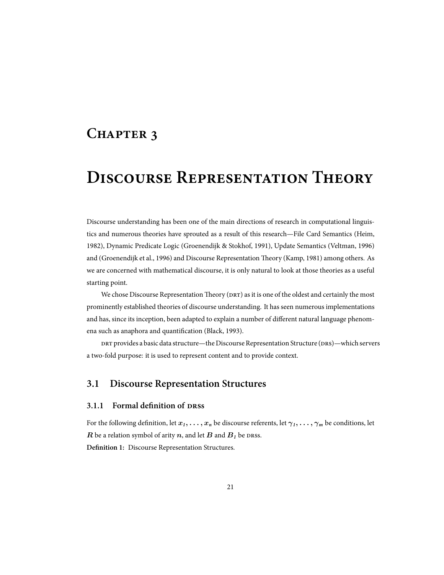## CHAPTER 3

## **DISCOURSE REPRESENTATION THEORY**

Discourse understanding has been one of the main directions of research in computational linguistics and numerous theories have sprouted as a result of this research—File Card Semantics (Heim, 1982), Dynamic Predicate Logic (Groenendijk & Stokhof, 1991), Update Semantics (Veltman, 1996) and (Groenendijk et al., 1996) and Discourse Representation Theory (Kamp, 1981) among others. As we are concerned with mathematical discourse, it is only natural to look at those theories as a useful starting point.

We chose Discourse Representation Theory (DRT) as it is one of the oldest and certainly the most prominently established theories of discourse understanding. It has seen numerous implementations and has, since its inception, been adapted to explain a number of different natural language phenomena such as anaphora and quantification (Black, 1993).

provides a basic data structure—the Discourse Representation Structure (DRS)—which servers a two-fold purpose: it is used to represent content and to provide context.

### **3.1 Discourse Representation Structures**

#### **3.1.1 Formal definition of DRSS**

For the following definition, let  $x_1, \ldots, x_n$  be discourse referents, let  $\gamma_1, \ldots, \gamma_m$  be conditions, let *R* be a relation symbol of arity  $n$ , and let  $B$  and  $B<sub>1</sub>$  be DRSS. **Definition 1:** Discourse Representation Structures.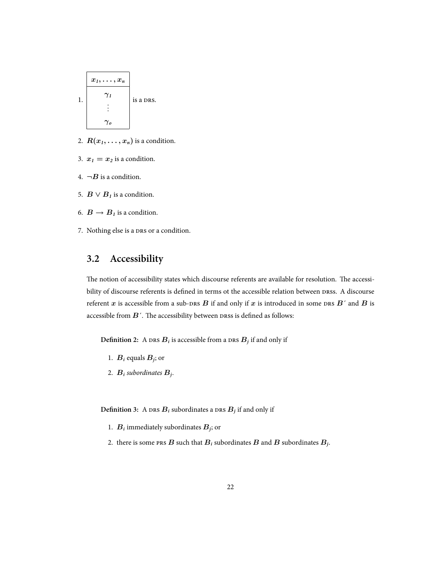

- 2.  $R(x_1, \ldots, x_n)$  is a condition.
- 3.  $x_1 = x_2$  is a condition.
- 4.  $\neg B$  is a condition.
- 5.  $B \vee B_1$  is a condition.
- 6.  $B \to B<sub>1</sub>$  is a condition.
- 7. Nothing else is a DRS or a condition.

## **3.2 Accessibility**

The notion of accessibility states which discourse referents are available for resolution. The accessibility of discourse referents is defined in terms ot the accessible relation between DRSS. A discourse referent *x* is accessible from a sub-DRS  $B$  if and only if  $x$  is introduced in some DRS  $B'$  and  $B$  is accessible from  $B'$ . The accessibility between  $D$ RSS is defined as follows:

**Definition 2:** A  $\text{DRs } B_i$  is accessible from a  $\text{DRs } B_j$  if and only if

- 1.  $B_i$  equals  $B_j$ ; or
- 2. *B<sup>i</sup> subordinates B<sup>j</sup>* .

Definition 3: A  $\text{DRs } B_i$  subordinates a  $\text{DRs } B_j$  if and only if

- 1.  $B_i$  immediately subordinates  $B_j$ ; or
- 2. there is some <code>prs</code>  $B$  such that  $B_i$  subordinates  $B$  and  $B$  subordinates  $B_j$ .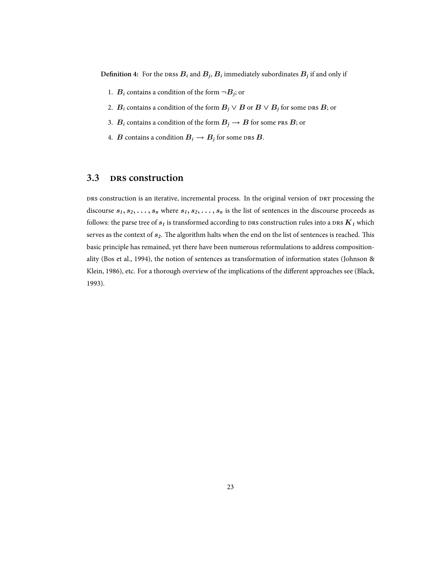Definition 4: For the <code>DRSs</code>  $B_i$  and  $B_j$ ,  $B_i$  immediately subordinates  $B_j$  if and only if

- 1.  $B_i$  contains a condition of the form  $\neg B_j$ ; or
- 2.  $B_i$  contains a condition of the form  $B_j \vee B$  or  $B \vee B_j$  for some DRS  $B$ ; or
- 3. *B*<sub>*i*</sub> contains a condition of the form  $B_j \to B$  for some PRS *B*; or
- 4. *B* contains a condition  $B_i \to B_j$  for some DRS  $B$ .

### **3.3 construction**

 construction is an iterative, incremental process. In the original version of processing the discourse  $s_1, s_2, \ldots, s_n$  where  $s_1, s_2, \ldots, s_n$  is the list of sentences in the discourse proceeds as follows: the parse tree of  $s<sub>1</sub>$  is transformed according to DRS construction rules into a DRS  $K<sub>1</sub>$  which serves as the context of  $s_2$ . The algorithm halts when the end on the list of sentences is reached. This basic principle has remained, yet there have been numerous reformulations to address compositionality (Bos et al., 1994), the notion of sentences as transformation of information states (Johnson & Klein, 1986), etc. For a thorough overview of the implications of the different approaches see (Black, 1993).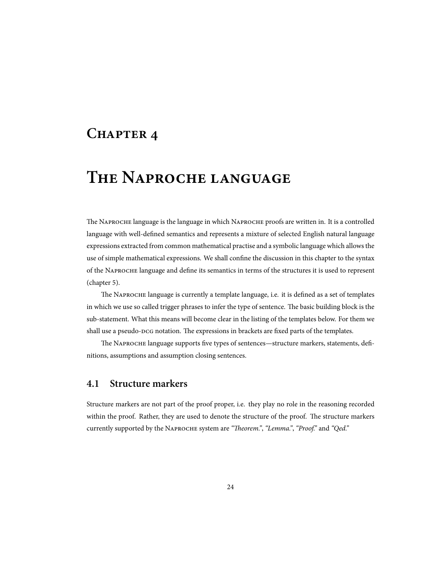## **CHAPTER 4**

## **THE NAPROCHE LANGUAGE**

The NAPROCHE language is the language in which NAPROCHE proofs are written in. It is a controlled language with well-defined semantics and represents a mixture of selected English natural language expressions extracted from common mathematical practise and a symbolic language which allows the use of simple mathematical expressions. We shall confine the discussion in this chapter to the syntax of the NAPROCHE language and define its semantics in terms of the structures it is used to represent (chapter 5).

The NAPROCHE language is currently a template language, i.e. it is defined as a set of templates in which we use so called trigger phrases to infer the type of sentence. The basic building block is the sub-statement. What this means will become clear in the listing of the templates below. For them we shall use a pseudo-DCG notation. The expressions in brackets are fixed parts of the templates.

The NAPROCHE language supports five types of sentences—structure markers, statements, definitions, assumptions and assumption closing sentences.

### **4.1 Structure markers**

Structure markers are not part of the proof proper, i.e. they play no role in the reasoning recorded within the proof. Rather, they are used to denote the structure of the proof. The structure markers currently supported by the NAPROCHE system are "Theorem.", "Lemma.", "Proof." and "Qed."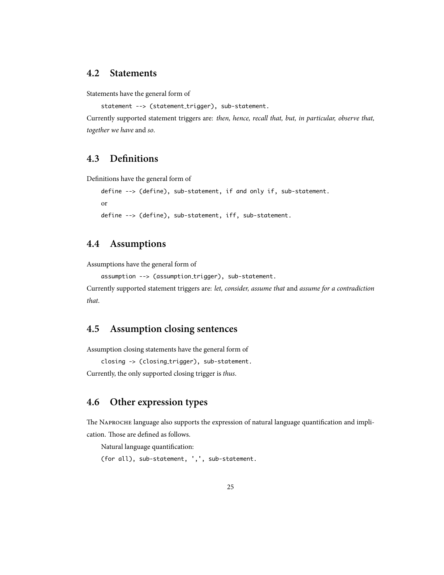### **4.2 Statements**

Statements have the general form of

statement --> (statement\_trigger), sub-statement.

Currently supported statement triggers are: *then, hence, recall that, but, in particular, observe that, together we have* and *so*.

## **4.3 Definitions**

Definitions have the general form of

```
define --> (define), sub-statement, if and only if, sub-statement.
```
or

define --> (define), sub-statement, iff, sub-statement.

## **4.4 Assumptions**

Assumptions have the general form of

assumption --> (assumption\_trigger), sub-statement.

```
Currently supported statement triggers are: let, consider, assume that and assume for a contradiction
that.
```
## **4.5 Assumption closing sentences**

Assumption closing statements have the general form of

```
closing -> (closing trigger), sub-statement.
```
Currently, the only supported closing trigger is *thus*.

## **4.6 Other expression types**

The NAPROCHE language also supports the expression of natural language quantification and implication. Those are defined as follows.

Natural language quantification:

```
(for all), sub-statement, ',', sub-statement.
```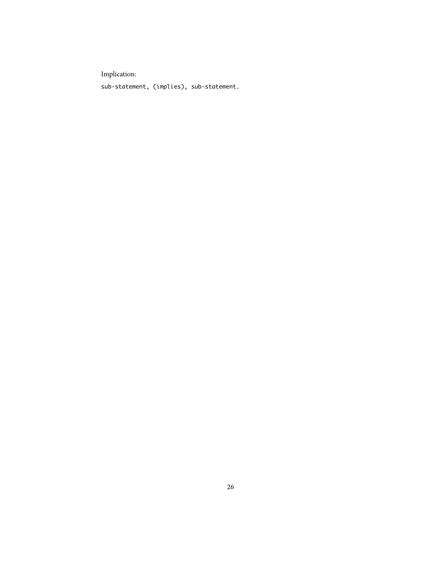Implication:

sub-statement, (implies), sub-statement.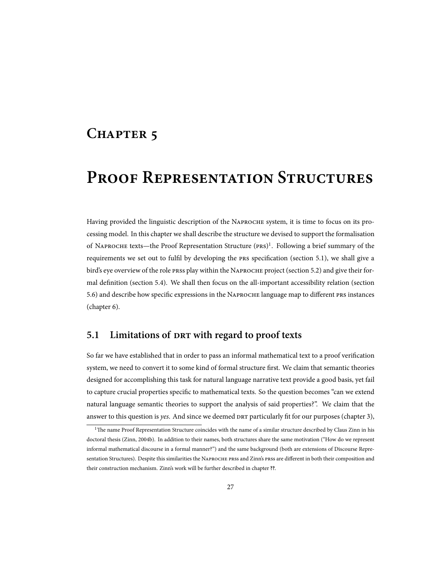## CHAPTER 5

## **PROOF REPRESENTATION STRUCTURES**

Having provided the linguistic description of the NAPROCHE system, it is time to focus on its processing model. In this chapter we shall describe the structure we devised to support the formalisation of NAPROCHE texts—the Proof Representation Structure (PRS)<sup>1</sup>. Following a brief summary of the requirements we set out to fulfil by developing the PRS specification (section 5.1), we shall give a bird's eye overview of the role press play within the NAPROCHE project (section 5.2) and give their formal definition (section 5.4). We shall then focus on the all-important accessibility relation (section 5.6) and describe how specific expressions in the NAPROCHE language map to different PRS instances (chapter 6).

## **5.1 Limitations of with regard to proof texts**

So far we have established that in order to pass an informal mathematical text to a proof verification system, we need to convert it to some kind of formal structure first. We claim that semantic theories designed for accomplishing this task for natural language narrative text provide a good basis, yet fail to capture crucial properties specific to mathematical texts. So the question becomes "can we extend natural language semantic theories to support the analysis of said properties?". We claim that the answer to this question is *yes*. And since we deemed particularly fit for our purposes (chapter 3),

<sup>&</sup>lt;sup>1</sup>The name Proof Representation Structure coincides with the name of a similar structure described by Claus Zinn in his doctoral thesis (Zinn, 2004b). In addition to their names, both structures share the same motivation ("How do we represent informal mathematical discourse in a formal manner?") and the same background (both are extensions of Discourse Representation Structures). Despite this similarities the NAPROCHE PRSS and Zinn's PRSS are different in both their composition and their construction mechanism. Zinn's work will be further described in chapter **??**.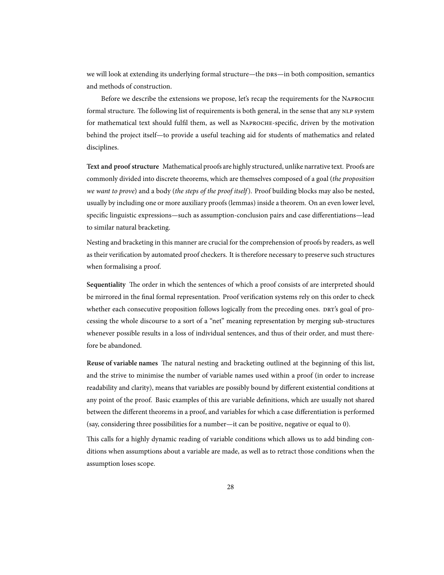we will look at extending its underlying formal structure—the DRS—in both composition, semantics and methods of construction.

Before we describe the extensions we propose, let's recap the requirements for the NAPROCHE formal structure. The following list of requirements is both general, in the sense that any NLP system for mathematical text should fulfil them, as well as NAPROCHE-specific, driven by the motivation behind the project itself—to provide a useful teaching aid for students of mathematics and related disciplines.

**Text and proof structure** Mathematical proofs are highly structured, unlike narrative text. Proofs are commonly divided into discrete theorems, which are themselves composed of a goal (*the proposition we want to prove*) and a body (*the steps of the proof itself*). Proof building blocks may also be nested, usually by including one or more auxiliary proofs (lemmas) inside a theorem. On an even lower level, specific linguistic expressions—such as assumption-conclusion pairs and case differentiations—lead to similar natural bracketing.

Nesting and bracketing in this manner are crucial for the comprehension of proofs by readers, as well as their verification by automated proof checkers. It is therefore necessary to preserve such structures when formalising a proof.

Sequentiality The order in which the sentences of which a proof consists of are interpreted should be mirrored in the final formal representation. Proof verification systems rely on this order to check whether each consecutive proposition follows logically from the preceding ones. DRT's goal of processing the whole discourse to a sort of a "net" meaning representation by merging sub-structures whenever possible results in a loss of individual sentences, and thus of their order, and must therefore be abandoned.

Reuse of variable names The natural nesting and bracketing outlined at the beginning of this list, and the strive to minimise the number of variable names used within a proof (in order to increase readability and clarity), means that variables are possibly bound by different existential conditions at any point of the proof. Basic examples of this are variable definitions, which are usually not shared between the different theorems in a proof, and variables for which a case differentiation is performed (say, considering three possibilities for a number—it can be positive, negative or equal to 0).

This calls for a highly dynamic reading of variable conditions which allows us to add binding conditions when assumptions about a variable are made, as well as to retract those conditions when the assumption loses scope.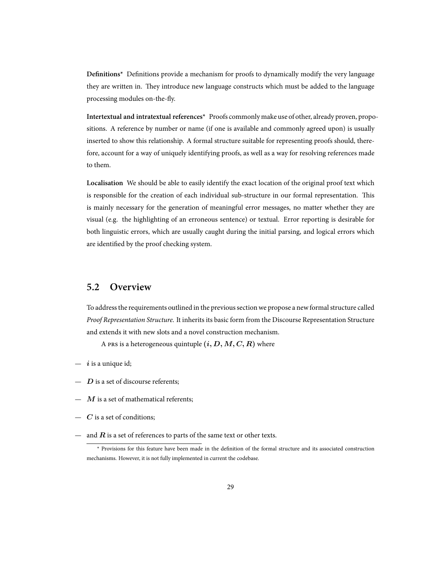**Definitions\*** Definitions provide a mechanism for proofs to dynamically modify the very language they are written in. They introduce new language constructs which must be added to the language processing modules on-the-fly.

**Intertextual and intratextual references\*** Proofs commonly make use of other, already proven, propositions. A reference by number or name (if one is available and commonly agreed upon) is usually inserted to show this relationship. A formal structure suitable for representing proofs should, therefore, account for a way of uniquely identifying proofs, as well as a way for resolving references made to them.

**Localisation** We should be able to easily identify the exact location of the original proof text which is responsible for the creation of each individual sub-structure in our formal representation. This is mainly necessary for the generation of meaningful error messages, no matter whether they are visual (e.g. the highlighting of an erroneous sentence) or textual. Error reporting is desirable for both linguistic errors, which are usually caught during the initial parsing, and logical errors which are identified by the proof checking system.

### **5.2 Overview**

To address the requirements outlined in the previous section we propose a new formal structure called *Proof Representation Structure*. It inherits its basic form from the Discourse Representation Structure and extends it with new slots and a novel construction mechanism.

A PRS is a heterogeneous quintuple  $(i, D, M, C, R)$  where

- *i* is a unique id;
- *D* is a set of discourse referents;
- *M* is a set of mathematical referents;
- *C* is a set of conditions;
- and  $R$  is a set of references to parts of the same text or other texts.

<sup>\*</sup> Provisions for this feature have been made in the definition of the formal structure and its associated construction mechanisms. However, it is not fully implemented in current the codebase.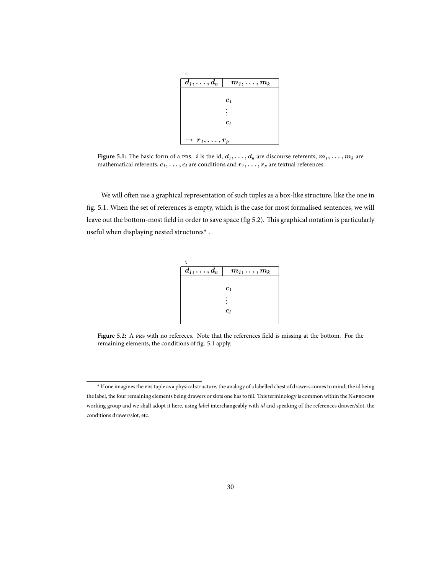| $d_1,\ldots,d_n$             | $m_1,\ldots,m_k$ |
|------------------------------|------------------|
|                              |                  |
|                              | c <sub>1</sub>   |
|                              |                  |
|                              |                  |
|                              | $c_l$            |
|                              |                  |
| $\rightarrow r_1,\ldots,r_p$ |                  |

**Figure 5.1:** The basic form of a PRS. *i* is the id,  $d_1, \ldots, d_n$  are discourse referents,  $m_1, \ldots, m_k$  are mathematical referents,  $c_1, \ldots, c_l$  are conditions and  $r_1, \ldots, r_p$  are textual references.

We will often use a graphical representation of such tuples as a box-like structure, like the one in fig. 5.1. When the set of references is empty, which is the case for most formalised sentences, we will leave out the bottom-most field in order to save space (fig 5.2). This graphical notation is particularly useful when displaying nested structures\* .

| $m_1,\ldots,m_k$   |
|--------------------|
|                    |
| c <sub>1</sub>     |
|                    |
|                    |
| $\boldsymbol{c}_l$ |
|                    |

Figure 5.2: A PRS with no refereces. Note that the references field is missing at the bottom. For the remaining elements, the conditions of fig. 5.1 apply.

<sup>\*</sup> If one imagines the tuple as a physical structure, the analogy of a labelled chest of drawers comes to mind; the id being the label, the four remaining elements being drawers or slots one has to fill. This terminology is common within the NAPROCHE working group and we shall adopt it here, using *label* interchangeably with *id* and speaking of the references drawer/slot, the conditions drawer/slot, etc.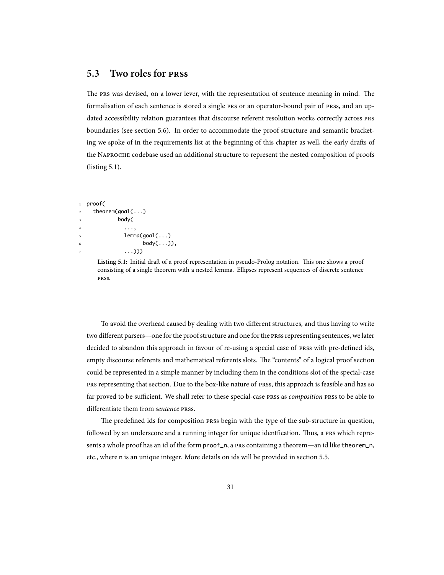### **5.3** Two roles for PRSS

The PRS was devised, on a lower lever, with the representation of sentence meaning in mind. The formalisation of each sentence is stored a single PRS or an operator-bound pair of PRSS, and an updated accessibility relation guarantees that discourse referent resolution works correctly across PRS boundaries (see section 5.6). In order to accommodate the proof structure and semantic bracketing we spoke of in the requirements list at the beginning of this chapter as well, the early drafts of the NAPROCHE codebase used an additional structure to represent the nested composition of proofs (listing 5.1).

```
1 proof(
2 theorem(goal(...)
              body(
4 . . . . . . . . . . . . 9
                lemma(goal(...)
                       body(\ldots)),\ldots))
```
Listing 5.1: Initial draft of a proof representation in pseudo-Prolog notation. This one shows a proof consisting of a single theorem with a nested lemma. Ellipses represent sequences of discrete sentence **PRSS** 

To avoid the overhead caused by dealing with two different structures, and thus having to write two different parsers—one for the proof structure and one for the press representing sentences, we later decided to abandon this approach in favour of re-using a special case of prss with pre-defined ids, empty discourse referents and mathematical referents slots. The "contents" of a logical proof section could be represented in a simple manner by including them in the conditions slot of the special-case representing that section. Due to the box-like nature of press, this approach is feasible and has so far proved to be sufficient. We shall refer to these special-case PRSS as *composition* PRSS to be able to differentiate them from *sentence* PRSS.

The predefined ids for composition prss begin with the type of the sub-structure in question, followed by an underscore and a running integer for unique identfication. Thus, a PRS which represents a whole proof has an id of the form proof\_n, a PRS containing a theorem—an id like theorem\_n, etc., where n is an unique integer. More details on ids will be provided in section 5.5.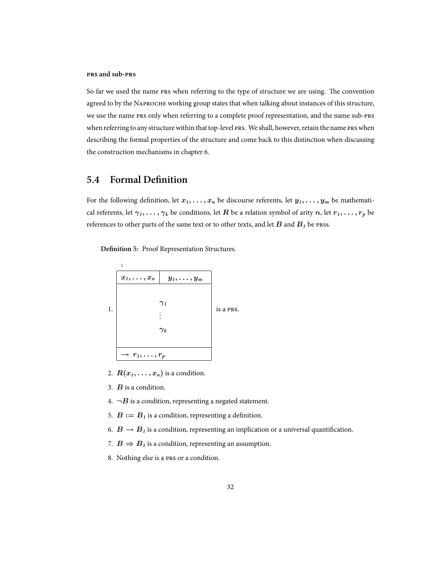#### **PRS** and sub-PRS

So far we used the name PRS when referring to the type of structure we are using. The convention agreed to by the NAPROCHE working group states that when talking about instances of this structure, we use the name PRS only when referring to a complete proof representation, and the name sub-PRS when referring to any structure within that top-level PRS. We shall, however, retain the name PRS when describing the formal properties of the structure and come back to this distinction when discussing the construction mechanisms in chapter 6.

## **5.4 Formal Definition**

For the following definition, let  $x_1, \ldots, x_n$  be discourse referents, let  $y_1, \ldots, y_m$  be mathematical referents, let  $\gamma_1, \ldots, \gamma_k$  be conditions, let  $R$  be a relation symbol of arity  $n$ , let  $r_1, \ldots, r_p$  be references to other parts of the same text or to other texts, and let  $B$  and  $B<sub>1</sub>$  be prss.

**Definition 5:** Proof Representation Structures.



- 2.  $R(x_1, \ldots, x_n)$  is a condition.
- 3. *B* is a condition.
- 4.  $\neg B$  is a condition, representing a negated statement.
- 5.  $B := B<sub>1</sub>$  is a condition, representing a definition.
- 6.  $B \rightarrow B<sub>1</sub>$  is a condition, representing an implication or a universal quantification.
- 7.  $B \Rightarrow B_1$  is a condition, representing an assumption.
- 8. Nothing else is a PRS or a condition.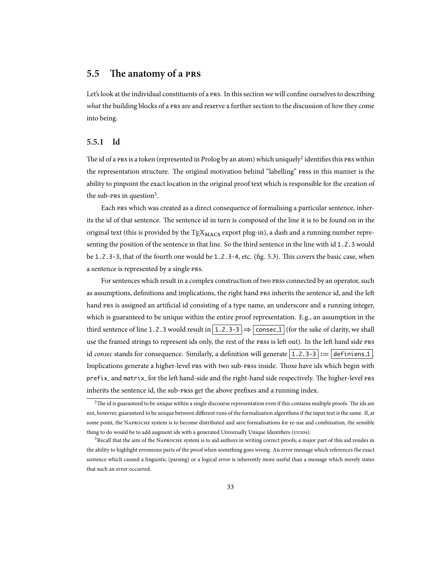### **5.5** The anatomy of a PRS

Let's look at the individual constituents of a PRS. In this section we will confine ourselves to describing *what* the building blocks of a PRS are and reserve a further section to the discussion of *how* they come into being.

#### **5.5.1 Id**

The id of a PRS is a token (represented in Prolog by an atom) which uniquely $^2$  identifies this PRS within the representation structure. The original motivation behind "labelling" press in this manner is the ability to pinpoint the exact location in the original proof text which is responsible for the creation of the sub-PRS in question<sup>3</sup>.

Each PRS which was created as a direct consequence of formalising a particular sentence, inherits the id of that sentence. The sentence id in turn is composed of the line it is to be found on in the original text (this is provided by the  $T_{\rm E}X_{\rm MACS}$  export plug-in), a dash and a running number representing the position of the sentence in that line. So the third sentence in the line with id 1.2.3 would be  $1.2.3-3$ , that of the fourth one would be  $1.2.3-4$ , etc. (fig. 5.3). This covers the basic case, when a sentence is represented by a single PRS.

For sentences which result in a complex construction of two press connected by an operator, such as assumptions, definitions and implications, the right hand PRS inherits the sentence id, and the left hand PRS is assigned an artificial id consisting of a type name, an underscore and a running integer, which is guaranteed to be unique within the entire proof representation. E.g., an assumption in the third sentence of line 1.2.3 would result in  $|1.2.3-3| \Rightarrow$  consec 1 (for the sake of clarity, we shall use the framed strings to represent ids only, the rest of the press is left out). In the left hand side pres id *consec* stands for consequence. Similarly, a definition will generate  $|1.2.3-3| := |$  definiens 1. Implications generate a higher-level PRS with two sub-PRSS inside. Those have ids which begin with prefix\_ and matrix\_ for the left hand-side and the right-hand side respectively. The higher-level PRS inherits the sentence id, the sub-press get the above prefixes and a running index.

 $2$ The id is guaranteed to be unique within a single discourse representation even if this contains multiple proofs. The ids are not, however, guaranteed to be unique between different runs of the formalisation algorithms if the input text is the same. If, at some point, the NAPROCHE system is to become distributed and save formalisations for re-use and combination, the sensible thing to do would be to add augment ids with a generated Universally Unique Identifiers (UUIDS).

<sup>&</sup>lt;sup>3</sup>Recall that the aim of the NAPROCHE system is to aid authors in writing correct proofs; a major part of this aid resides in the ability to highlight erroneous parts of the proof when something goes wrong. An error message which references the exact sentence which caused a linguistic (parsing) or a logical error is inherently more useful than a message which merely states that such an error occurred.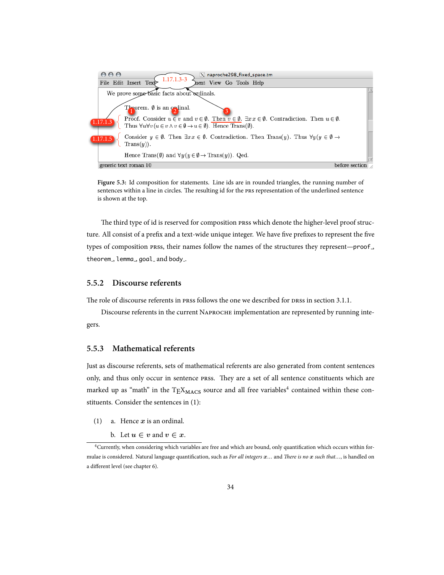

**Figure 5.3:** Id composition for statements. Line ids are in rounded triangles, the running number of sentences within a line in circles. The resulting id for the PRS representation of the underlined sentence is shown at the top.

The third type of id is reserved for composition press which denote the higher-level proof structure. All consist of a prefix and a text-wide unique integer. We have five prefixes to represent the five types of composition press, their names follow the names of the structures they represent—proof., theorem<sub>-</sub>, lemma<sub>-</sub>, goal<sub>-</sub> and body<sub>-</sub>.

#### **5.5.2 Discourse referents**

The role of discourse referents in press follows the one we described for press in section 3.1.1.

Discourse referents in the current NAPROCHE implementation are represented by running integers.

#### **5.5.3 Mathematical referents**

Just as discourse referents, sets of mathematical referents are also generated from content sentences only, and thus only occur in sentence prss. They are a set of all sentence constituents which are marked up as "math" in the  $T_{\rm E}X_{\rm MACS}$  source and all free variables<sup>4</sup> contained within these constituents. Consider the sentences in (1):

(1) a. Hence *x* is an ordinal.

b. Let  $u \in v$  and  $v \in x$ .

<sup>4</sup>Currently, when considering which variables are free and which are bound, only quantification which occurs within formulae is considered. Natural language quantification, such as *For all integers*  $x$ *...* and *There is no*  $x$  *such that...*, is handled on a different level (see chapter 6).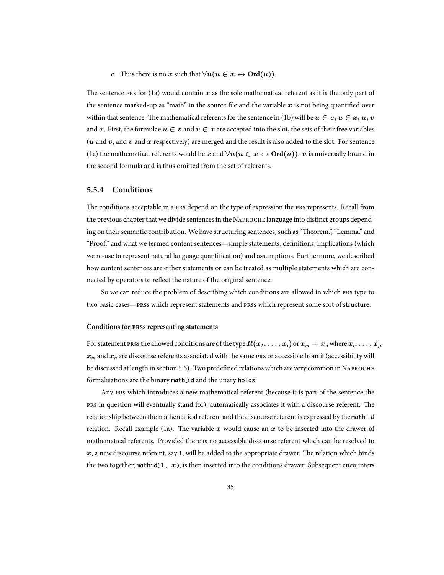c. Thus there is no *x* such that  $∀u(u ∈ x \leftrightarrow Ord(u))$ .

The sentence  $f(x)$  respectively contain  $x$  as the sole mathematical referent as it is the only part of the sentence marked-up as "math" in the source file and the variable  $x$  is not being quantified over within that sentence. The mathematical referents for the sentence in (1b) will be  $u \in v, u \in x, u, v$ and x. First, the formulae  $u \in v$  and  $v \in x$  are accepted into the slot, the sets of their free variables  $(u \text{ and } v, \text{ and } v \text{ and } x \text{ respectively})$  are merged and the result is also added to the slot. For sentence (1c) the mathematical referents would be *x* and  $\forall u (u \in x \leftrightarrow \text{Ord}(u))$ . *u* is universally bound in the second formula and is thus omitted from the set of referents.

#### **5.5.4 Conditions**

The conditions acceptable in a PRS depend on the type of expression the PRS represents. Recall from the previous chapter that we divide sentences in the NAPROCHE language into distinct groups depending on their semantic contribution. We have structuring sentences, such as "Theorem.", "Lemma." and "Proof." and what we termed content sentences—simple statements, definitions, implications (which we re-use to represent natural language quantification) and assumptions. Furthermore, we described how content sentences are either statements or can be treated as multiple statements which are connected by operators to reflect the nature of the original sentence.

So we can reduce the problem of describing which conditions are allowed in which PRS type to two basic cases—press which represent statements and press which represent some sort of structure.

#### **Conditions for PRSS representing statements**

For statement <code>prss</code> the allowed conditions are of the type  $R(x_1,\ldots,x_i)$  or  $x_m=x_n$  where  $x_i,\ldots,x_j$ ,  $x_m$  and  $x_n$  are discourse referents associated with the same PRS or accessible from it (accessibility will be discussed at length in section 5.6). Two predefined relations which are very common in N formalisations are the binary math id and the unary holds.

Any PRS which introduces a new mathematical referent (because it is part of the sentence the prs in question will eventually stand for), automatically associates it with a discourse referent. The relationship between the mathematical referent and the discourse referent is expressed by the math id relation. Recall example (1a). The variable  $x$  would cause an  $x$  to be inserted into the drawer of mathematical referents. Provided there is no accessible discourse referent which can be resolved to  $x$ , a new discourse referent, say 1, will be added to the appropriate drawer. The relation which binds the two together, mathid(1,  $x$ ), is then inserted into the conditions drawer. Subsequent encounters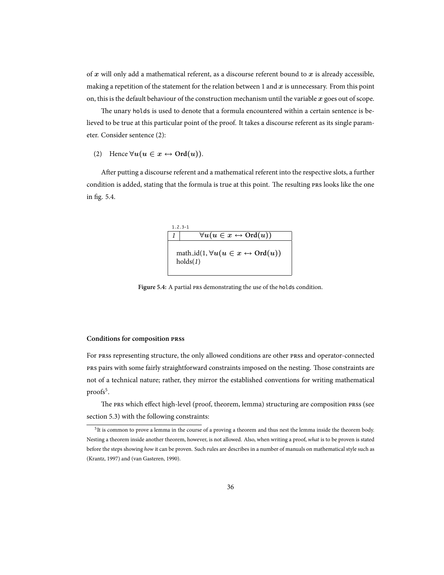of *x* will only add a mathematical referent, as a discourse referent bound to *x* is already accessible, making a repetition of the statement for the relation between 1 and  $x$  is unnecessary. From this point on, this is the default behaviour of the construction mechanism until the variable *x* goes out of scope.

The unary holds is used to denote that a formula encountered within a certain sentence is believed to be true at this particular point of the proof. It takes a discourse referent as its single parameter. Consider sentence (2):

#### (2) Hence  $\forall u (u \in x \leftrightarrow \text{Ord}(u))$ .

After putting a discourse referent and a mathematical referent into the respective slots, a further condition is added, stating that the formula is true at this point. The resulting PRS looks like the one in fig. 5.4.



Figure 5.4: A partial PRS demonstrating the use of the holds condition.

#### **Conditions for composition PRSS**

For prss representing structure, the only allowed conditions are other prss and operator-connected pairs with some fairly straightforward constraints imposed on the nesting. Those constraints are not of a technical nature; rather, they mirror the established conventions for writing mathematical proofs<sup>5</sup>.

The PRS which effect high-level (proof, theorem, lemma) structuring are composition PRSS (see section 5.3) with the following constraints:

<sup>5</sup> It is common to prove a lemma in the course of a proving a theorem and thus nest the lemma inside the theorem body. Nesting a theorem inside another theorem, however, is not allowed. Also, when writing a proof, *what* is to be proven is stated before the steps showing *how* it can be proven. Such rules are describes in a number of manuals on mathematical style such as (Krantz, 1997) and (van Gasteren, 1990).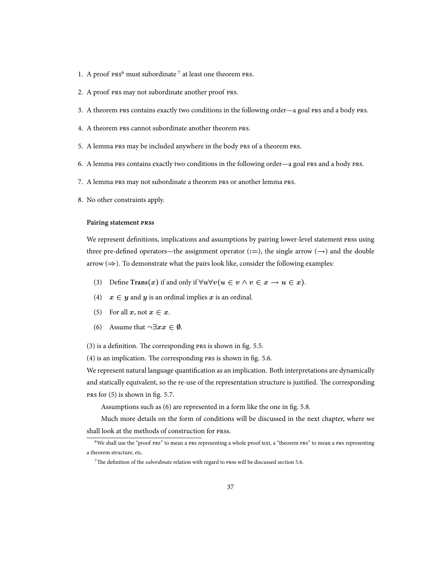- 1. A proof  $prs^6$  must subordinate<sup>7</sup> at least one theorem  $prs$ .
- 2. A proof PRS may not subordinate another proof PRS.
- 3. A theorem PRS contains exactly two conditions in the following order—a goal PRS and a body PRS.
- 4. A theorem PRS cannot subordinate another theorem PRS.
- 5. A lemma PRS may be included anywhere in the body PRS of a theorem PRS.
- 6. A lemma PRS contains exactly two conditions in the following order—a goal PRS and a body PRS.
- 7. A lemma PRS may not subordinate a theorem PRS or another lemma PRS.
- 8. No other constraints apply.

#### **Pairing statement PRSS**

We represent definitions, implications and assumptions by pairing lower-level statement prss using three pre-defined operators—the assignment operator (**:=**), the single arrow (*→*) and the double arrow (*⇒*). To demonstrate what the pairs look like, consider the following examples:

- (3) Define  $\text{Trans}(x)$  if and only if  $\forall u \forall v (u \in v \land v \in x \rightarrow u \in x)$ .
- (4)  $x \in y$  and *y* is an ordinal implies *x* is an ordinal.
- (5) For all  $x, \text{not } x \in x$ .
- (6) Assume that *¬∃xx ∈ ∅*.

 $(3)$  is a definition. The corresponding  $PRS$  is shown in fig. 5.5.

 $(4)$  is an implication. The corresponding  $PRS$  is shown in fig. 5.6.

We represent natural language quantification as an implication. Both interpretations are dynamically and statically equivalent, so the re-use of the representation structure is justified. The corresponding  $PRS$  for  $(5)$  is shown in fig. 5.7.

Assumptions such as (6) are represented in a form like the one in fig. 5.8.

Much more details on the form of conditions will be discussed in the next chapter, where we shall look at the methods of construction for prss.

<sup>&</sup>lt;sup>6</sup>We shall use the "proof PRS" to mean a PRS representing a whole proof text, a "theorem PRS" to mean a PRS representing a theorem structure, etc.

<sup>&</sup>lt;sup>7</sup>The definition of the *subordinate* relation with regard to press will be discussed section 5.6.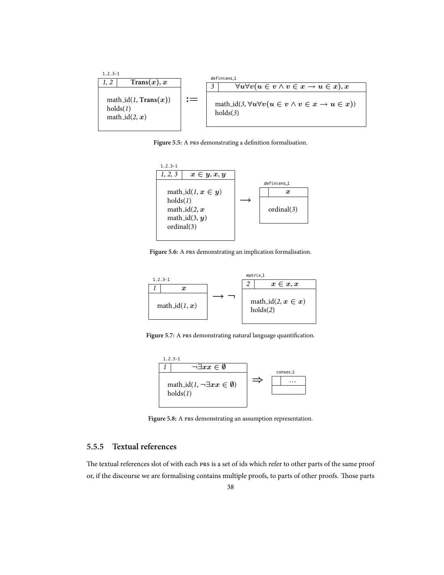

Figure 5.5: A PRS demonstrating a definition formalisation.



Figure 5.6: A PRS demonstrating an implication formalisation.



Figure 5.7: A PRS demonstrating natural language quantification.



Figure 5.8: A PRS demonstrating an assumption representation.

#### **5.5.5 Textual references**

The textual references slot of with each PRS is a set of ids which refer to other parts of the same proof or, if the discourse we are formalising contains multiple proofs, to parts of other proofs. Those parts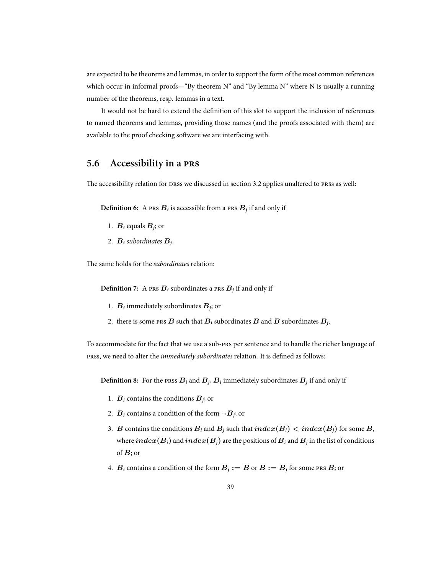are expected to be theorems and lemmas, in order to support the form of the most common references which occur in informal proofs—"By theorem N" and "By lemma N" where N is usually a running number of the theorems, resp. lemmas in a text.

It would not be hard to extend the definition of this slot to support the inclusion of references to named theorems and lemmas, providing those names (and the proofs associated with them) are available to the proof checking software we are interfacing with.

### **5.6 Accessibility in a**

The accessibility relation for prss we discussed in section 3.2 applies unaltered to prss as well:

**Definition 6:** A  $\text{PRS } B_i$  is accessible from a  $\text{PRS } B_j$  if and only if

- 1.  $B_i$  equals  $B_j$ ; or
- 2. *B<sup>i</sup> subordinates B<sup>j</sup>* .

The same holds for the *subordinates* relation:

Definition 7: A  $\text{PRS } B_i$  subordinates a  $\text{PRS } B_j$  if and only if

- 1.  $B_i$  immediately subordinates  $B_j$ ; or
- 2. there is some <code>prs</code>  $B$  such that  $B_i$  subordinates  $B$  and  $B$  subordinates  $B_j$ .

To accommodate for the fact that we use a sub-PRS per sentence and to handle the richer language of s, we need to alter the *immediately subordinates* relation. It is defined as follows:

Definition 8: For the prss  $B_i$  and  $B_j$ ,  $B_i$  immediately subordinates  $B_j$  if and only if

- 1.  $B_i$  contains the conditions  $B_j$ ; or
- 2.  $B_i$  contains a condition of the form  $\neg B_j$ ; or
- 3. *B* contains the conditions  $B_i$  and  $B_j$  such that  $index(B_i) < index(B_j)$  for some *B*, where  $index(B_i)$  and  $index(B_j)$  are the positions of  $B_i$  and  $B_j$  in the list of conditions of *B*; or
- 4.  $B_i$  contains a condition of the form  $B_j := B$  or  $B := B_j$  for some PRS  $B$ ; or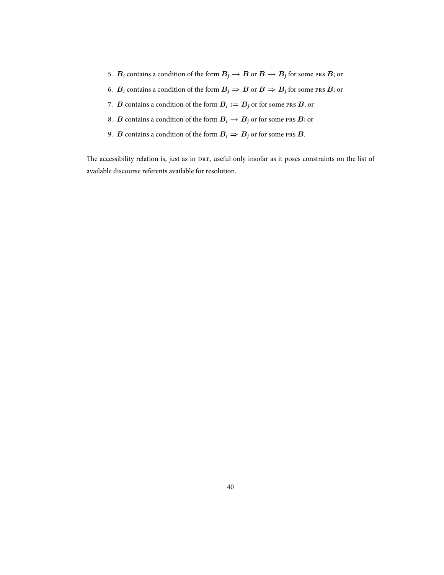- 5.  $B_i$  contains a condition of the form  $B_j \to B$  or  $B \to B_j$  for some PRS  $B$ ; or
- 6. *B*<sub>*i*</sub> contains a condition of the form  $B_j \Rightarrow B$  or  $B \Rightarrow B_j$  for some PRS *B*; or
- 7. *B* contains a condition of the form  $B_i := B_j$  or for some PRS  $B$ ; or
- 8. *B* contains a condition of the form  $B_i \rightarrow B_j$  or for some PRS *B*; or
- 9. *B* contains a condition of the form  $B_i \Rightarrow B_j$  or for some PRS *B*.

The accessibility relation is, just as in DRT, useful only insofar as it poses constraints on the list of available discourse referents available for resolution.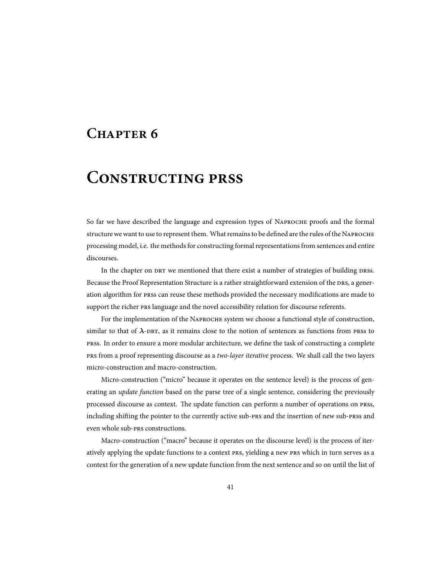## **CHAPTER 6**

## **CONSTRUCTING PRSS**

So far we have described the language and expression types of NAPROCHE proofs and the formal structure we want to use to represent them. What remains to be defined are the rules of the N processing model, i.e. the methods for constructing formal representations from sentences and entire discourses.

In the chapter on DRT we mentioned that there exist a number of strategies of building DRSS. Because the Proof Representation Structure is a rather straightforward extension of the DRS, a generation algorithm for prss can reuse these methods provided the necessary modifications are made to support the richer PRS language and the novel accessibility relation for discourse referents.

For the implementation of the NAPROCHE system we choose a functional style of construction, similar to that of  $\lambda$ -DRT, as it remains close to the notion of sentences as functions from PRSS to s. In order to ensure a more modular architecture, we define the task of constructing a complete from a proof representing discourse as a *two-layer iterative* process. We shall call the two layers micro-construction and macro-construction.

Micro-construction ("micro" because it operates on the sentence level) is the process of generating an *update function* based on the parse tree of a single sentence, considering the previously processed discourse as context. The update function can perform a number of operations on prss, including shifting the pointer to the currently active sub-PRS and the insertion of new sub-PRSS and even whole sub-PRS constructions.

Macro-construction ("macro" because it operates on the discourse level) is the process of iteratively applying the update functions to a context PRS, yielding a new PRS which in turn serves as a context for the generation of a new update function from the next sentence and so on until the list of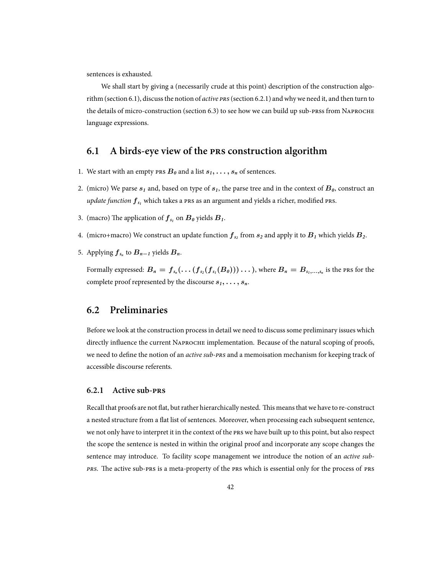sentences is exhausted.

We shall start by giving a (necessarily crude at this point) description of the construction algorithm (section 6.1), discuss the notion of *active* PRS (section 6.2.1) and why we need it, and then turn to the details of micro-construction (section 6.3) to see how we can build up sub-prss from NAPROCHE language expressions.

### **6.1 A birds-eye view of the construction algorithm**

- 1. We start with an empty PRS  $B_0$  and a list  $s_1, \ldots, s_n$  of sentences.
- 2. (micro) We parse  $s_1$  and, based on type of  $s_1$ , the parse tree and in the context of  $B_0$ , construct an  $u$ pdate function  $f_{s_1}$  which takes a PRS as an argument and yields a richer, modified PRS.
- 3. (macro) The application of  $f_{s_1}$  on  $B_0$  yields  $B_1$ .
- 4. (micro+macro) We construct an update function  $f_{s_2}$  from  $s_2$  and apply it to  $B_1$  which yields  $B_2$ .
- 5. Applying  $f_{s_n}$  to  $B_{n-1}$  yields  $B_n$ .

Formally expressed:  $B_n = f_{s_n}(\ldots (f_{s_2}(f_{s_1}(B_0)))\ldots)$ , where  $B_n = B_{s_1,\ldots,s_n}$  is the <code>prs</code> for the complete proof represented by the discourse *s1, . . . , sn*.

### **6.2 Preliminaries**

Before we look at the construction process in detail we need to discuss some preliminary issues which directly influence the current NAPROCHE implementation. Because of the natural scoping of proofs, we need to define the notion of an *active sub-PRS* and a memoisation mechanism for keeping track of accessible discourse referents.

#### **6.2.1 Active sub-**

Recall that proofs are not flat, but rather hierarchically nested. This means that we have to re-construct a nested structure from a flat list of sentences. Moreover, when processing each subsequent sentence, we not only have to interpret it in the context of the PRS we have built up to this point, but also respect the scope the sentence is nested in within the original proof and incorporate any scope changes the sentence may introduce. To facility scope management we introduce the notion of an *active sub-* PRS. The active sub-PRS is a meta-property of the PRS which is essential only for the process of PRS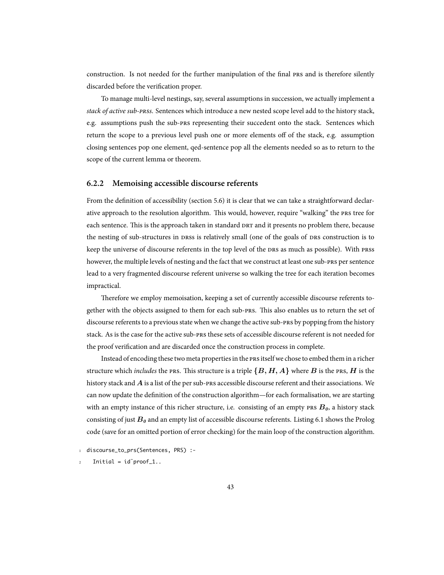construction. Is not needed for the further manipulation of the final PRS and is therefore silently discarded before the verification proper.

To manage multi-level nestings, say, several assumptions in succession, we actually implement a *stack of active sub-s*. Sentences which introduce a new nested scope level add to the history stack, e.g. assumptions push the sub-PRS representing their succedent onto the stack. Sentences which return the scope to a previous level push one or more elements off of the stack, e.g. assumption closing sentences pop one element, qed-sentence pop all the elements needed so as to return to the scope of the current lemma or theorem.

#### **6.2.2 Memoising accessible discourse referents**

From the definition of accessibility (section 5.6) it is clear that we can take a straightforward declarative approach to the resolution algorithm. This would, however, require "walking" the PRS tree for each sentence. This is the approach taken in standard DRT and it presents no problem there, because the nesting of sub-structures in press is relatively small (one of the goals of pres construction is to keep the universe of discourse referents in the top level of the DRS as much as possible). With PRSS however, the multiple levels of nesting and the fact that we construct at least one sub-pres per sentence lead to a very fragmented discourse referent universe so walking the tree for each iteration becomes impractical.

Therefore we employ memoisation, keeping a set of currently accessible discourse referents together with the objects assigned to them for each sub-PRS. This also enables us to return the set of discourse referents to a previous state when we change the active sub-PRS by popping from the history stack. As is the case for the active sub-PRS these sets of accessible discourse referent is not needed for the proof verification and are discarded once the construction process in complete.

Instead of encoding these two meta properties in the PRS itself we chose to embed them in a richer structure which *includes* the PRS. This structure is a triple  $\{B, H, A\}$  where  $B$  is the PRS,  $H$  is the history stack and A is a list of the per sub-PRS accessible discourse referent and their associations. We can now update the definition of the construction algorithm—for each formalisation, we are starting with an empty instance of this richer structure, i.e. consisting of an empty  $\text{PRs } B_0$ , a history stack consisting of just *B<sup>0</sup>* and an empty list of accessible discourse referents. Listing 6.1 shows the Prolog code (save for an omitted portion of error checking) for the main loop of the construction algorithm.

discourse\_to\_prs(Sentences, PRS) :-

 $Initial = id$ <sup>o</sup>proof\_1..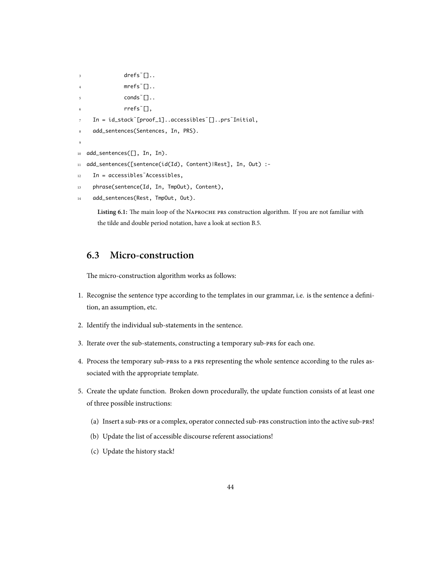```
3 drefs \bigcap.
4 \qquad \qquad \text{mrefs}^{\sim} \Box.
               conds []..
               6 rrefs˜[],
7 In = id_stack˜[proof_1]..accessibles˜[]..prs˜Initial,
8 add_sentences(Sentences, In, PRS).
9
10 add_sentences([], In, In).
11 add_sentences([sentence(id(Id), Content)|Rest], In, Out) :-
12 In = accessibles˜Accessibles,
13 phrase(sentence(Id, In, TmpOut), Content),
14 add_sentences(Rest, TmpOut, Out).
```
Listing 6.1: The main loop of the NAPROCHE PRS construction algorithm. If you are not familiar with the tilde and double period notation, have a look at section B.5.

## **6.3 Micro-construction**

The micro-construction algorithm works as follows:

- 1. Recognise the sentence type according to the templates in our grammar, i.e. is the sentence a definition, an assumption, etc.
- 2. Identify the individual sub-statements in the sentence.
- 3. Iterate over the sub-statements, constructing a temporary sub-PRS for each one.
- 4. Process the temporary sub-press to a pres representing the whole sentence according to the rules associated with the appropriate template.
- 5. Create the update function. Broken down procedurally, the update function consists of at least one of three possible instructions:
	- (a) Insert a sub-PRS or a complex, operator connected sub-PRS construction into the active sub-PRS!
	- (b) Update the list of accessible discourse referent associations!
	- (c) Update the history stack!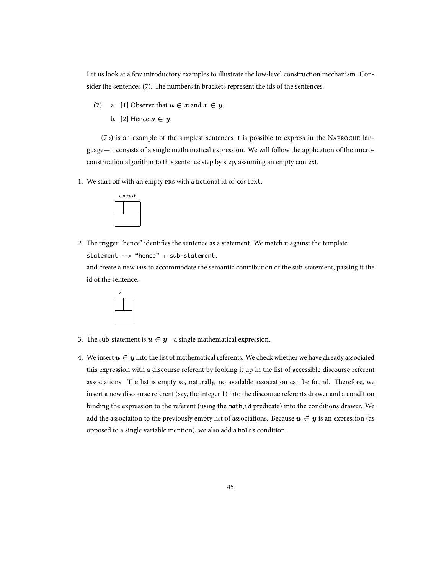Let us look at a few introductory examples to illustrate the low-level construction mechanism. Consider the sentences (7). The numbers in brackets represent the ids of the sentences.

- (7) a. [1] Observe that  $u \in x$  and  $x \in y$ .
	- b. [2] Hence  $u \in y$ .

(7b) is an example of the simplest sentences it is possible to express in the NAPROCHE language—it consists of a single mathematical expression. We will follow the application of the microconstruction algorithm to this sentence step by step, assuming an empty context.

1. We start off with an empty PRS with a fictional id of context.



2. The trigger "hence" identifies the sentence as a statement. We match it against the template statement --> "hence" + sub-statement.

and create a new PRS to accommodate the semantic contribution of the sub-statement, passing it the id of the sentence.



- 3. The sub-statement is  $u \in y$ —a single mathematical expression.
- 4. We insert  $u \in y$  into the list of mathematical referents. We check whether we have already associated this expression with a discourse referent by looking it up in the list of accessible discourse referent associations. The list is empty so, naturally, no available association can be found. Therefore, we insert a new discourse referent (say, the integer 1) into the discourse referents drawer and a condition binding the expression to the referent (using the math id predicate) into the conditions drawer. We add the association to the previously empty list of associations. Because  $u \in y$  is an expression (as opposed to a single variable mention), we also add a holds condition.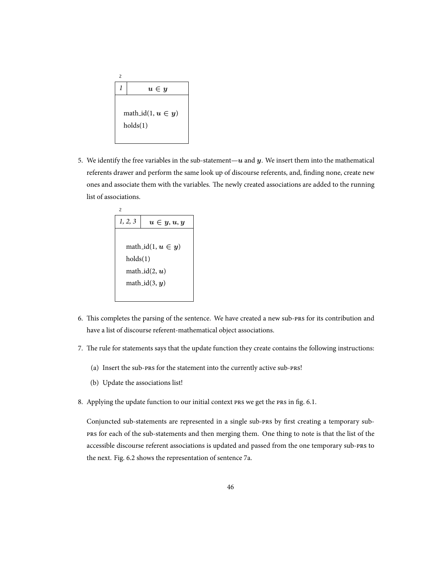

5. We identify the free variables in the sub-statement—*u* and *y*. We insert them into the mathematical referents drawer and perform the same look up of discourse referents, and, finding none, create new ones and associate them with the variables. The newly created associations are added to the running list of associations.

| 1, 2, 3          | $u \in y, u, y$        |  |  |
|------------------|------------------------|--|--|
|                  |                        |  |  |
|                  | math_id(1, $u \in y$ ) |  |  |
|                  | holds(1)               |  |  |
| math_id $(2, u)$ |                        |  |  |
| math_id $(3, y)$ |                        |  |  |
|                  |                        |  |  |

- 6. This completes the parsing of the sentence. We have created a new sub-PRS for its contribution and have a list of discourse referent-mathematical object associations.
- 7. The rule for statements says that the update function they create contains the following instructions:
	- (a) Insert the sub-PRS for the statement into the currently active sub-PRS!
	- (b) Update the associations list!
- 8. Applying the update function to our initial context PRS we get the PRS in fig. 6.1.

Conjuncted sub-statements are represented in a single sub-PRS by first creating a temporary sub for each of the sub-statements and then merging them. One thing to note is that the list of the accessible discourse referent associations is updated and passed from the one temporary sub-PRS to the next. Fig. 6.2 shows the representation of sentence 7a.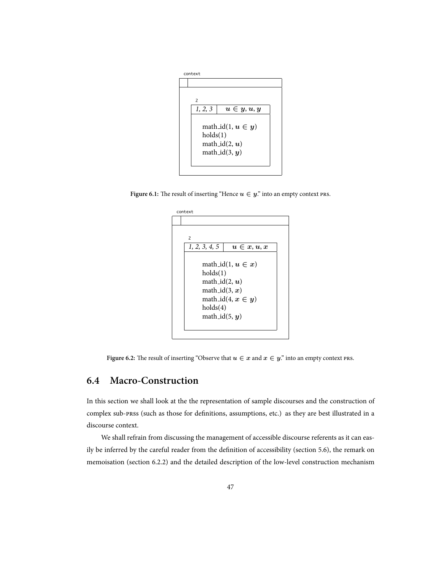

**Figure 6.1:** The result of inserting "Hence  $u \in y$ ." into an empty context PRS.

| $\overline{c}$<br>1, 2, 3, 4, 5<br>$u \in x, u, x$<br>math_id(1, $u \in x$ )<br>holds(1) |  |
|------------------------------------------------------------------------------------------|--|
|                                                                                          |  |
|                                                                                          |  |
|                                                                                          |  |
|                                                                                          |  |
|                                                                                          |  |
|                                                                                          |  |
| math_id $(2, u)$                                                                         |  |
| math_id $(3, x)$                                                                         |  |
| math_id(4, $x \in u$ )                                                                   |  |
| holds(4)                                                                                 |  |
| math_id $(5, y)$                                                                         |  |

**Figure 6.2:** The result of inserting "Observe that  $u \in x$  and  $x \in y$ ." into an empty context PRS.

## **6.4 Macro-Construction**

In this section we shall look at the the representation of sample discourses and the construction of complex sub-prss (such as those for definitions, assumptions, etc.) as they are best illustrated in a discourse context.

We shall refrain from discussing the management of accessible discourse referents as it can easily be inferred by the careful reader from the definition of accessibility (section 5.6), the remark on memoisation (section 6.2.2) and the detailed description of the low-level construction mechanism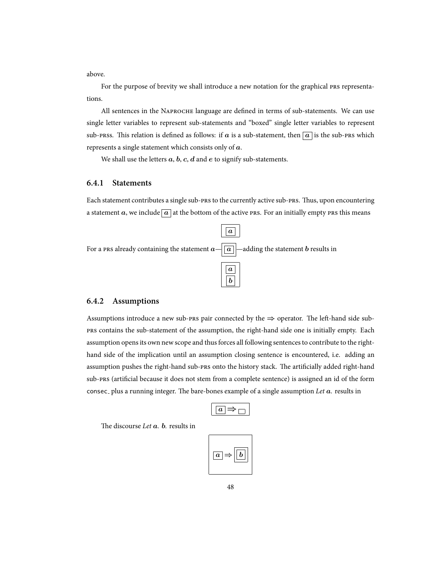above.

For the purpose of brevity we shall introduce a new notation for the graphical PRS representations.

All sentences in the NAPROCHE language are defined in terms of sub-statements. We can use single letter variables to represent sub-statements and "boxed" single letter variables to represent sub-press. This relation is defined as follows: if *a* is a sub-statement, then  $\boxed{a}$  is the sub-pres which represents a single statement which consists only of *a*.

We shall use the letters *a*, *b*, *c*, *d* and *e* to signify sub-statements.

#### **6.4.1 Statements**

Each statement contributes a single sub-PRS to the currently active sub-PRS. Thus, upon encountering a statement *a*, we include  $\boxed{a}$  at the bottom of the active PRS. For an initially empty PRS this means



#### **6.4.2 Assumptions**

Assumptions introduce a new sub-PRS pair connected by the  $\Rightarrow$  operator. The left-hand side sub contains the sub-statement of the assumption, the right-hand side one is initially empty. Each assumption opens its own new scope and thus forces all following sentences to contribute to the righthand side of the implication until an assumption closing sentence is encountered, i.e. adding an assumption pushes the right-hand sub-PRS onto the history stack. The artificially added right-hand sub-PRS (artificial because it does not stem from a complete sentence) is assigned an id of the form consec<sub>-</sub> plus a running integer. The bare-bones example of a single assumption Let  $a$ *.* results in

|--|

e discourse *Let a. b.* results in

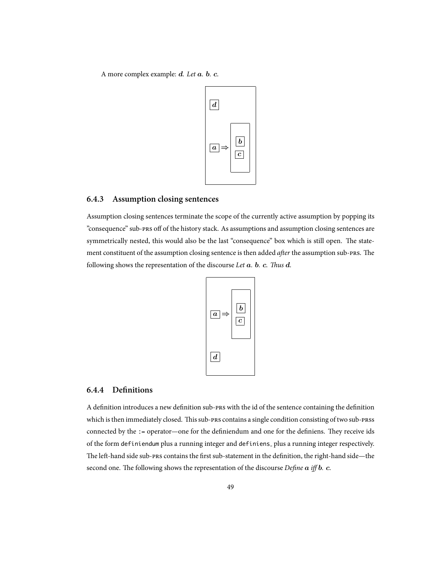A more complex example: *d. Let a. b. c.*



#### **6.4.3 Assumption closing sentences**

Assumption closing sentences terminate the scope of the currently active assumption by popping its "consequence" sub-PRS off of the history stack. As assumptions and assumption closing sentences are symmetrically nested, this would also be the last "consequence" box which is still open. The statement constituent of the assumption closing sentence is then added *after* the assumption sub-PRS. The following shows the representation of the discourse Let  $a$ *.*  $b$ *.*  $c$ *. Thus*  $d$ *.* 



#### **6.4.4 Definitions**

A definition introduces a new definition sub-PRS with the id of the sentence containing the definition which is then immediately closed. This sub-PRS contains a single condition consisting of two sub-PRSS connected by the := operator—one for the definiendum and one for the definiens. They receive ids of the form definiendum plus a running integer and definiens plus a running integer respectively. The left-hand side sub-PRS contains the first sub-statement in the definition, the right-hand side—the second one. The following shows the representation of the discourse *Define*  $a$  *iff*  $b$ *. c.*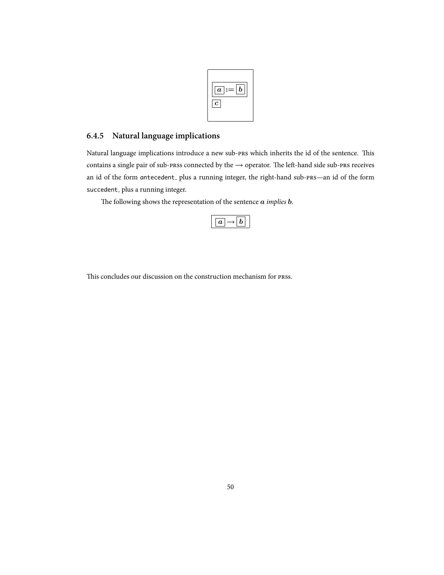

### **6.4.5 Natural language implications**

Natural language implications introduce a new sub-PRS which inherits the id of the sentence. This contains a single pair of sub-prss connected by the → operator. The left-hand side sub-prs receives an id of the form antecedent<sub>-</sub> plus a running integer, the right-hand sub-PRS-an id of the form succedent<sub>-</sub> plus a running integer.

e following shows the representation of the sentence *a implies b.*

This concludes our discussion on the construction mechanism for press.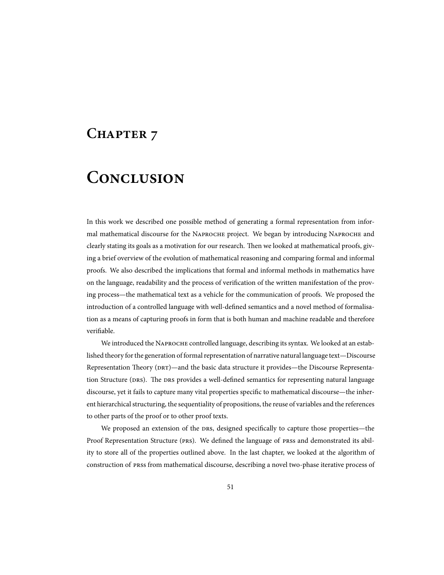## CHAPTER 7

## **CONCLUSION**

In this work we described one possible method of generating a formal representation from informal mathematical discourse for the NAPROCHE project. We began by introducing NAPROCHE and clearly stating its goals as a motivation for our research. Then we looked at mathematical proofs, giving a brief overview of the evolution of mathematical reasoning and comparing formal and informal proofs. We also described the implications that formal and informal methods in mathematics have on the language, readability and the process of verification of the written manifestation of the proving process—the mathematical text as a vehicle for the communication of proofs. We proposed the introduction of a controlled language with well-defined semantics and a novel method of formalisation as a means of capturing proofs in form that is both human and machine readable and therefore verifiable.

We introduced the NAPROCHE controlled language, describing its syntax. We looked at an established theory for the generation of formal representation of narrative natural language text—Discourse Representation Theory (DRT)—and the basic data structure it provides—the Discourse Representation Structure (DRS). The DRS provides a well-defined semantics for representing natural language discourse, yet it fails to capture many vital properties specific to mathematical discourse—the inherent hierarchical structuring, the sequentiality of propositions, the reuse of variables and the references to other parts of the proof or to other proof texts.

We proposed an extension of the DRS, designed specifically to capture those properties—the Proof Representation Structure (PRS). We defined the language of PRSs and demonstrated its ability to store all of the properties outlined above. In the last chapter, we looked at the algorithm of construction of press from mathematical discourse, describing a novel two-phase iterative process of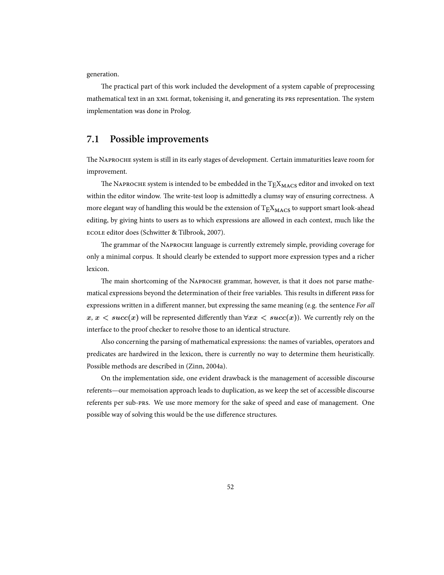generation.

The practical part of this work included the development of a system capable of preprocessing mathematical text in an  $x$ ML format, tokenising it, and generating its PRS representation. The system implementation was done in Prolog.

### **7.1 Possible improvements**

The NAPROCHE system is still in its early stages of development. Certain immaturities leave room for improvement.

The NAPROCHE system is intended to be embedded in the  $T_{\rm F}X_{\rm MACS}$  editor and invoked on text within the editor window. The write-test loop is admittedly a clumsy way of ensuring correctness. A more elegant way of handling this would be the extension of  $T_{E}X_{MACS}$  to support smart look-ahead editing, by giving hints to users as to which expressions are allowed in each context, much like the ECOLE editor does (Schwitter & Tilbrook, 2007).

The grammar of the NAPROCHE language is currently extremely simple, providing coverage for only a minimal corpus. It should clearly be extended to support more expression types and a richer lexicon.

The main shortcoming of the NAPROCHE grammar, however, is that it does not parse mathematical expressions beyond the determination of their free variables. This results in different prss for expressions written in a different manner, but expressing the same meaning (e.g. the sentence *For all*  $x, x \leq succ(x)$  will be represented differently than  $\forall xx \leq succ(x)$ ). We currently rely on the interface to the proof checker to resolve those to an identical structure.

Also concerning the parsing of mathematical expressions: the names of variables, operators and predicates are hardwired in the lexicon, there is currently no way to determine them heuristically. Possible methods are described in (Zinn, 2004a).

On the implementation side, one evident drawback is the management of accessible discourse referents—our memoisation approach leads to duplication, as we keep the set of accessible discourse referents per sub-PRS. We use more memory for the sake of speed and ease of management. One possible way of solving this would be the use difference structures.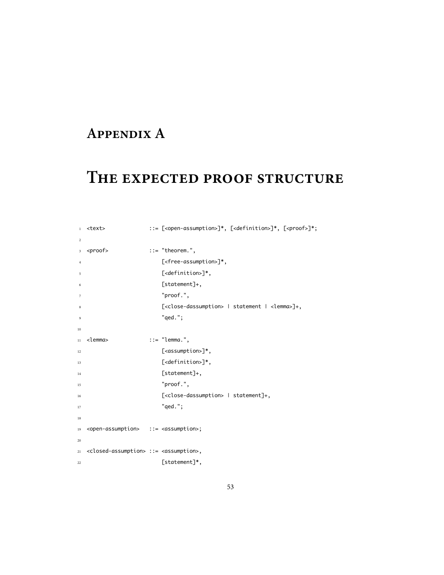## **APPENDIX A**

## THE EXPECTED PROOF STRUCTURE

| $\mathbf{1}$   | <text></text>                                                          | ::= [ <open-assumption>]*, [<definition>]*, [<proof>]*;</proof></definition></open-assumption> |
|----------------|------------------------------------------------------------------------|------------------------------------------------------------------------------------------------|
| $\sqrt{2}$     |                                                                        |                                                                                                |
| 3 <sup>7</sup> | <proof></proof>                                                        | $ ::= "theorem."$                                                                              |
| $\overline{4}$ |                                                                        | [ <free-assumption>]*,</free-assumption>                                                       |
| 5              |                                                                        | [ <definition>]*,</definition>                                                                 |
| 6              |                                                                        | [statement]+,                                                                                  |
| $\overline{7}$ |                                                                        | "proof.",                                                                                      |
| 8              |                                                                        | [ <close-dassumption>   statement   <lemma>]+,</lemma></close-dassumption>                     |
| $\overline{9}$ |                                                                        | " $qed."$ ;                                                                                    |
| 10             |                                                                        |                                                                                                |
| 11             | <lemma></lemma>                                                        | $ ::= "lemma."$                                                                                |
| 12             |                                                                        | [ <assumption>]*,</assumption>                                                                 |
| 13             |                                                                        | [ <definition>]*,</definition>                                                                 |
| 14             |                                                                        | [statement]+,                                                                                  |
| 15             |                                                                        | "proof.",                                                                                      |
| 16             |                                                                        | [ <close-dassumption>   statement]+,</close-dassumption>                                       |
| 17             |                                                                        | " $qed."$                                                                                      |
| 18             |                                                                        |                                                                                                |
| 19             | <open-assumption> ::= <assumption>;</assumption></open-assumption>     |                                                                                                |
| 20             |                                                                        |                                                                                                |
| 21             | <closed-assumption> ::= <assumption>,</assumption></closed-assumption> |                                                                                                |
| 22             |                                                                        | [statement]*,                                                                                  |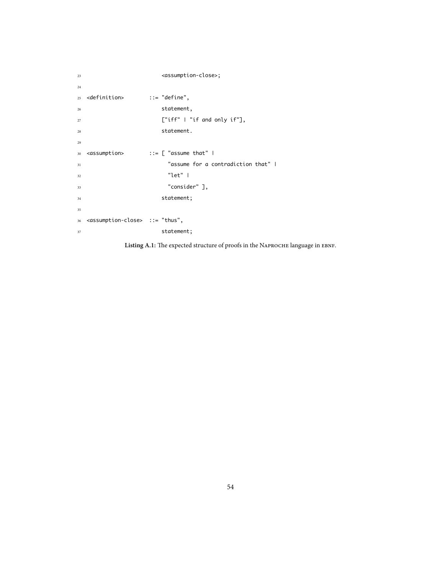```
23 <assumption-close>;
24
25 <definition> ::= "define",
<sup>26</sup> statement,
27 ["iff" | "if and only if"],
28 statement.
29
30 <assumption> ::= [ "assume that" |
31 "assume for a contradiction that" |
32 "let" |
33 "consider" ],
34 statement;
35
36 <assumption-close> ::= "thus",
37 statement;
```
Listing A.1: The expected structure of proofs in the NAPROCHE language in EBNF.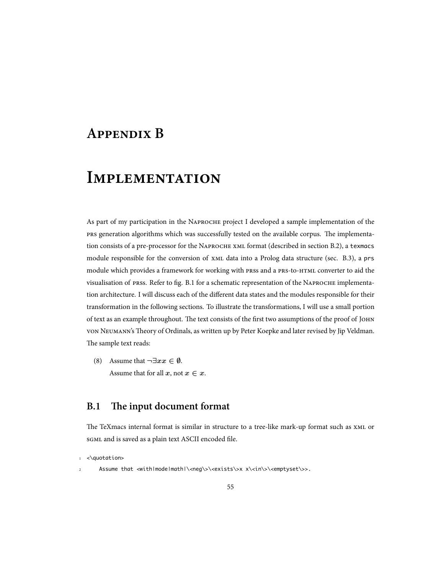## **APPENDIX B**

## **IMPLEMENTATION**

As part of my participation in the NAPROCHE project I developed a sample implementation of the prs generation algorithms which was successfully tested on the available corpus. The implementation consists of a pre-processor for the NAPROCHE XML format (described in section B.2), a texmacs module responsible for the conversion of  $x$ ML data into a Prolog data structure (sec. B.3), a prs module which provides a framework for working with prss and a PRS-to-HTML converter to aid the visualisation of prss. Refer to fig. B.1 for a schematic representation of the NAPROCHE implementation architecture. I will discuss each of the different data states and the modules responsible for their transformation in the following sections. To illustrate the transformations, I will use a small portion of text as an example throughout. The text consists of the first two assumptions of the proof of JOHN VON NEUMANN's Theory of Ordinals, as written up by Peter Koepke and later revised by Jip Veldman. The sample text reads:

(8) Assume that *¬∃xx ∈ ∅*. Assume that for all  $x$ , not  $x \in x$ .

## **B.1** The input document format

The TeXmacs internal format is similar in structure to a tree-like mark-up format such as  $x$ ML or SGML and is saved as a plain text ASCII encoded file.

<\guotation>

Assume that <with|mode|math|\<neg\>\<exists\>x x\<in\>\<emptyset\>>.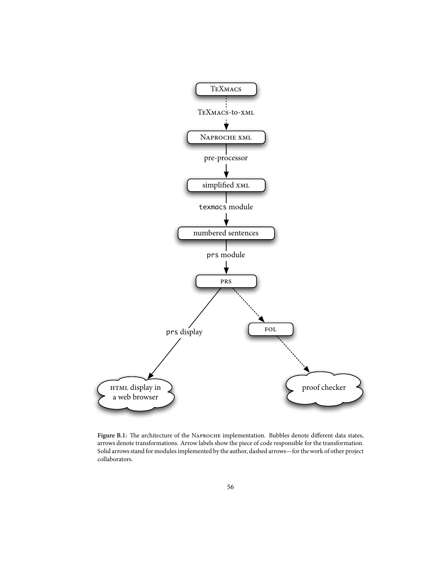

Figure B.1: The architecture of the NAPROCHE implementation. Bubbles denote different data states, arrows denote transformations. Arrow labels show the piece of code responsible for the transformation. Solid arrows stand for modules implemented by the author, dashed arrows—for the work of other project collaborators.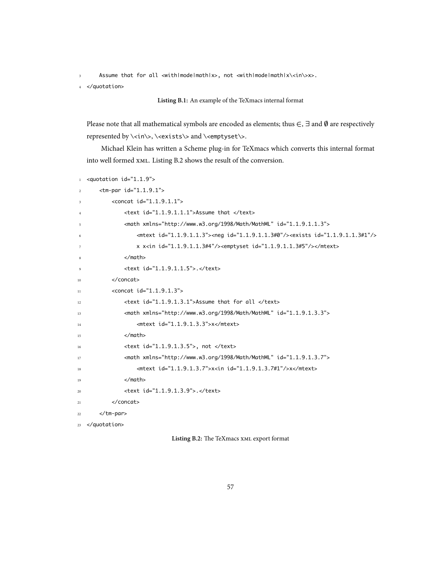Assume that for all <with|mode|math|x>, not <with|mode|math|x\<in\>x>.

<sup>4</sup> </quotation>

```
Listing B.1: An example of the TeXmacs internal format
```
Please note that all mathematical symbols are encoded as elements; thus *∈*, *∃* and *∅* are respectively represented by \<in\>, \<exists\> and \<emptyset\>.

Michael Klein has written a Scheme plug-in for TeXmacs which converts this internal format into well formed XML. Listing B.2 shows the result of the conversion.

```
1 <quotation id="1.1.9">
      \timestm-par id="1.1.9.1">
         <concat id="1.1.9.1.1">
             4 <text id="1.1.9.1.1.1">Assume that </text>
             <math xmlns="http://www.w3.org/1998/Math/MathML" id="1.1.9.1.1.3">
                 6 <mtext id="1.1.9.1.1.3"><neg id="1.1.9.1.1.3#0"/><exists id="1.1.9.1.1.3#1"/>
                x x<in id="1.1.9.1.1.3#4"/><emptyset id="1.1.9.1.1.3#5"/></mtext>
             \angle/math>
             <text id="1.1.9.1.1.5">.</text>
10 </concat>
11 <concat id="1.1.9.1.3">
12 <text id="1.1.9.1.3.1">Assume that for all </text>
13 <math xmlns="http://www.w3.org/1998/Math/MathML" id="1.1.9.1.3.3">
14 <mtext id="1.1.9.1.3.3">x</mtext>
$\times$/math><text id="1.1.9.1.3.5">, not </text>
17 <math xmlns="http://www.w3.org/1998/Math/MathML" id="1.1.9.1.3.7">
18 <mtext id="1.1.9.1.3.7">x<in id="1.1.9.1.3.7#1"/>x</mtext>
19 </math>
20 <text id="1.1.9.1.3.9">.</text>
21 </concat>
22 </tm-par>
23 </quotation>
```
Listing B.2: The TeXmacs **xML** export format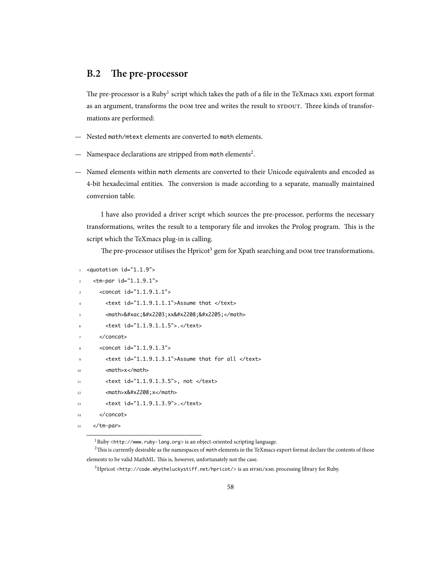## **B.2** The pre-processor

The pre-processor is a Ruby $^1$  script which takes the path of a file in the TeXmacs  $\boldsymbol{\text{x}}$ мL export format as an argument, transforms the DOM tree and writes the result to  $s$ TDOUT. Three kinds of transformations are performed:

- Nested math/mtext elements are converted to math elements.
- $-$  Namespace declarations are stripped from math elements<sup>2</sup>.
- Named elements within math elements are converted to their Unicode equivalents and encoded as 4-bit hexadecimal entities. The conversion is made according to a separate, manually maintained conversion table.

I have also provided a driver script which sources the pre-processor, performs the necessary transformations, writes the result to a temporary file and invokes the Prolog program. This is the script which the TeXmacs plug-in is calling.

The pre-processor utilises the Hpricot<sup>3</sup> gem for Xpath searching and DOM tree transformations.

```
<quotation id="1.1.9">
```

```
<tm-par id="1.1.9.1">
```

```
<concat id="1.1.9.1.1">
```
- <sup>4</sup> <text id="1.1.9.1.1.1">Assume that </text>
- <math>&#xac;&#x2203;xx&#x2208;&#x2205;</math>
- <text id="1.1.9.1.1.5">.</text>
- </concat>
- <concat id="1.1.9.1.3">
- <text id="1.1.9.1.3.1">Assume that for all </text>
- 10 <math>x</math>
- 11 <text id="1.1.9.1.3.5">, not </text>
- $12$   $\leq math \geq x \leq 208$ ;  $x \leq /mathtanh$
- 13 <text id="1.1.9.1.3.9">.</text>
- 14 </concat>

```
15 </tm-par>
```
<sup>1</sup>Ruby <http://www.ruby-lang.org> is an object-oriented scripting language.

 $2$ This is currently desirable as the namespaces of math elements in the TeXmacs export format declare the contents of those elements to be valid MathML. This is, however, unfortunately not the case.

<sup>3</sup>Hpricot <http://code.whytheluckystiff.net/hpricot/> is an HTML/XML processing library for Ruby.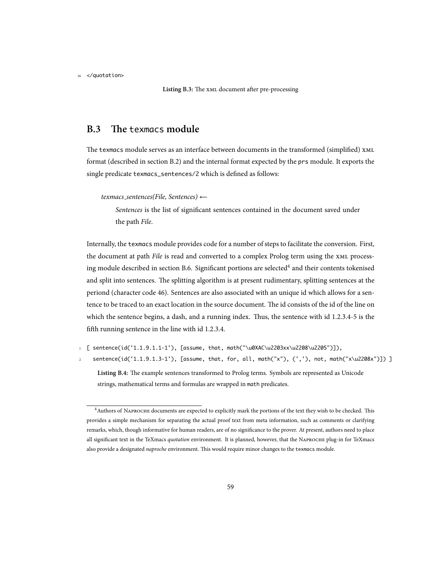<sup>16</sup> </quotation>

Listing B.3: The **XML** document after pre-processing

## **B.3** The texmacs module

The texmacs module serves as an interface between documents in the transformed (simplified)  $x_{ML}$ format (described in section B.2) and the internal format expected by the prs module. It exports the single predicate texmacs\_sentences/2 which is defined as follows:

*texmacs sentences(File, Sentences) ←*

*Sentences* is the list of significant sentences contained in the document saved under the path *File*.

Internally, the texmacs module provides code for a number of steps to facilitate the conversion. First, the document at path *File* is read and converted to a complex Prolog term using the XML processing module described in section B.6. Significant portions are selected<sup>4</sup> and their contents tokenised and split into sentences. The splitting algorithm is at present rudimentary, splitting sentences at the periond (character code 46). Sentences are also associated with an unique id which allows for a sentence to be traced to an exact location in the source document. The id consists of the id of the line on which the sentence begins, a dash, and a running index. Thus, the sentence with id  $1.2.3.4-5$  is the fifth running sentence in the line with id 1.2.3.4.

- <sup>1</sup> [ sentence(id('1.1.9.1.1-1'), [assume, that, math("\u0XAC\u2203xx\u2208\u2205")]),
- <sup>2</sup> sentence(id('1.1.9.1.3-1'), [assume, that, for, all, math("x"), (','), not, math("x\u2208x")]) ]

Listing B.4: The example sentences transformed to Prolog terms. Symbols are represented as Unicode strings, mathematical terms and formulas are wrapped in math predicates.

<sup>&</sup>lt;sup>4</sup> Authors of NAPROCHE documents are expected to explicitly mark the portions of the text they wish to be checked. This provides a simple mechanism for separating the actual proof text from meta information, such as comments or clarifying remarks, which, though informative for human readers, are of no significance to the prover. At present, authors need to place all significant text in the TeXmacs *quotation* environment. It is planned, however, that the NAPROCHE plug-in for TeXmacs also provide a designated *naproche* environment. This would require minor changes to the texmacs module.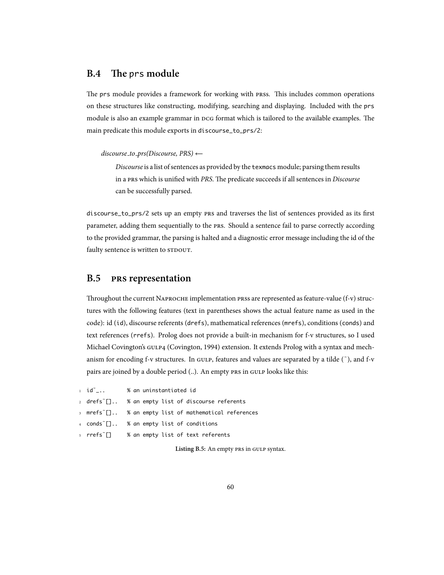### **B.4** The prs module

The prs module provides a framework for working with press. This includes common operations on these structures like constructing, modifying, searching and displaying. Included with the prs module is also an example grammar in  $p$ co format which is tailored to the available examples. The main predicate this module exports in discourse\_to\_prs/2:

*discourse to prs(Discourse, PRS) ←*

*Discourse* is a list of sentences as provided by the texmacs module; parsing them results in a PRS which is unified with *PRS*. The predicate succeeds if all sentences in *Discourse* can be successfully parsed.

discourse\_to\_prs/2 sets up an empty PRS and traverses the list of sentences provided as its first parameter, adding them sequentially to the PRS. Should a sentence fail to parse correctly according to the provided grammar, the parsing is halted and a diagnostic error message including the id of the faulty sentence is written to STDOUT.

#### **B.5 representation**

Throughout the current NAPROCHE implementation PRSs are represented as feature-value (f-v) structures with the following features (text in parentheses shows the actual feature name as used in the code): id (id), discourse referents (drefs), mathematical references (mrefs), conditions (conds) and text references (rrefs). Prolog does not provide a built-in mechanism for f-v structures, so I used Michael Covington's GULP4 (Covington, 1994) extension. It extends Prolog with a syntax and mechanism for encoding f-v structures. In GULP, features and values are separated by a tilde  $(^{\circ})$ , and f-v pairs are joined by a double period (..). An empty PRS in GULP looks like this:

1 id~\_.. % an uninstantiated id

2 drefs <sup>"</sup>[].. % an empty list of discourse referents

mrefs  $\lceil$ .. % an empty list of mathematical references

4 conds~[].. % an empty list of conditions

<sup>5</sup> rrefs˜[] % an empty list of text referents

Listing B.5: An empty PRS in GULP syntax.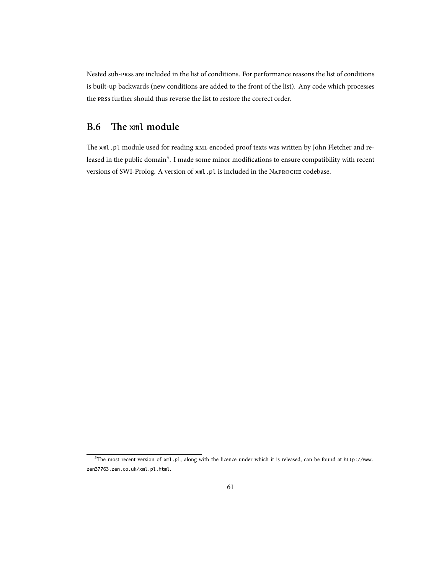Nested sub-press are included in the list of conditions. For performance reasons the list of conditions is built-up backwards (new conditions are added to the front of the list). Any code which processes the press further should thus reverse the list to restore the correct order.

## **B.6** The xml module

The xml.pl module used for reading XML encoded proof texts was written by John Fletcher and released in the public domain<sup>5</sup>. I made some minor modifications to ensure compatibility with recent versions of SWI-Prolog. A version of xml.pl is included in the NAPROCHE codebase.

 $5$ The most recent version of xml.pl, along with the licence under which it is released, can be found at http://www. zen37763.zen.co.uk/xml.pl.html.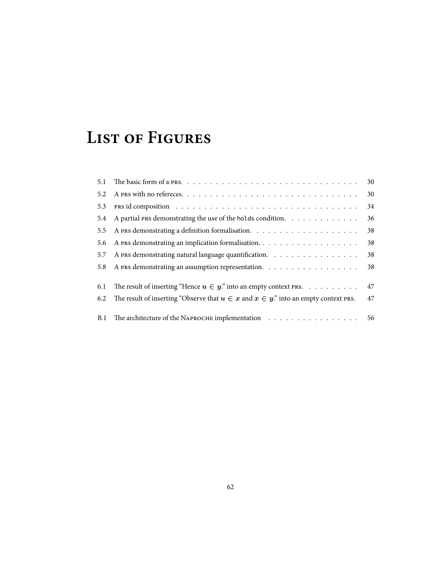## **LIST OF FIGURES**

| 5.1 |                                                                                               | 30 |
|-----|-----------------------------------------------------------------------------------------------|----|
| 5.2 |                                                                                               | 30 |
| 5.3 |                                                                                               | 34 |
| 5.4 | A partial PRS demonstrating the use of the holds condition.                                   | 36 |
| 5.5 |                                                                                               | 38 |
| 5.6 |                                                                                               | 38 |
| 5.7 | A PRS demonstrating natural language quantification.                                          | 38 |
| 5.8 | A PRS demonstrating an assumption representation. $\ldots \ldots \ldots \ldots \ldots \ldots$ | 38 |
| 6.1 | The result of inserting "Hence $u \in y$ " into an empty context PRS.                         | 47 |
| 6.2 | The result of inserting "Observe that $u \in x$ and $x \in y$ ." into an empty context PRS.   | 47 |
|     | B.1 The architecture of the NAPROCHE implementation 56                                        |    |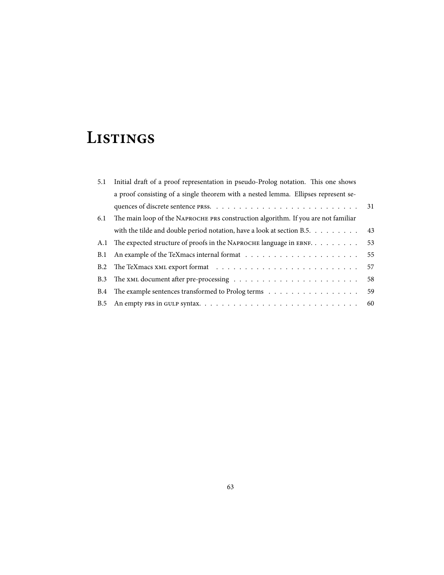## **LISTINGS**

| 5.1                                                                                      | Initial draft of a proof representation in pseudo-Prolog notation. This one shows  |    |  |  |  |  |
|------------------------------------------------------------------------------------------|------------------------------------------------------------------------------------|----|--|--|--|--|
|                                                                                          | a proof consisting of a single theorem with a nested lemma. Ellipses represent se- |    |  |  |  |  |
|                                                                                          |                                                                                    | 31 |  |  |  |  |
| The main loop of the NAPROCHE PRS construction algorithm. If you are not familiar<br>6.1 |                                                                                    |    |  |  |  |  |
|                                                                                          | with the tilde and double period notation, have a look at section B.5.             | 43 |  |  |  |  |
| A.1                                                                                      | The expected structure of proofs in the NAPROCHE language in EBNF.                 | 53 |  |  |  |  |
| <b>B.1</b>                                                                               |                                                                                    | 55 |  |  |  |  |
| <b>B.2</b>                                                                               |                                                                                    | 57 |  |  |  |  |
| <b>B.3</b>                                                                               |                                                                                    | 58 |  |  |  |  |
| <b>B.4</b>                                                                               |                                                                                    | 59 |  |  |  |  |
| <b>B.5</b>                                                                               |                                                                                    | 60 |  |  |  |  |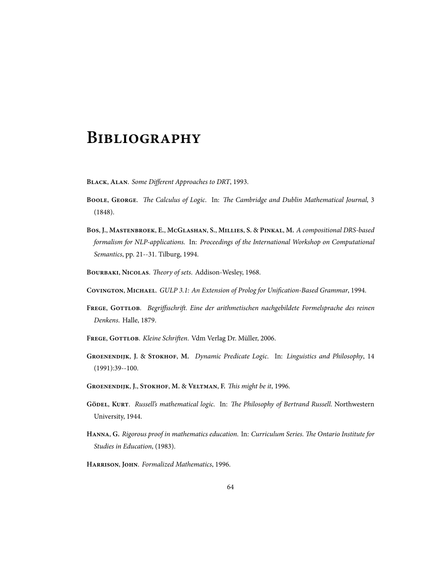## **BIBLIOGRAPHY**

BLACK, ALAN. Some Different Approaches to DRT, 1993.

- **B**, **G**. *e Calculus of Logic*. In: *e Cambridge and Dublin Mathematical Journal*, 3 (1848).
- **B**, **J.**, **M**, **E.**, **MG**, **S.**, **M**, **S.** & **P**, **M.** *A compositional DRS-based formalism for NLP-applications*. In: *Proceedings of the International Workshop on Computational Semantics*, pp. 21--31. Tilburg, 1994.
- BOURBAKI, NICOLAS. Theory of sets. Addison-Wesley, 1968.
- **C**, **M**. *GULP 3.1: An Extension of Prolog for Unification-Based Grammar*, 1994.
- **F**, **G**. *Begriffsschri. Eine der arithmetischen nachgebildete Formelsprache des reinen Denkens*. Halle, 1879.
- FREGE, GOTTLOB. Kleine Schriften. Vdm Verlag Dr. Müller, 2006.
- **G**, **J.** & **S**, **M.** *Dynamic Predicate Logic*. In: *Linguistics and Philosophy*, 14 (1991):39--100.
- GROENENDIJK, J., STOKHOF, M. & VELTMAN, F. This might be it, 1996.
- **G**, **K**. *Russell's mathematical logic*. In: *e Philosophy of Bertrand Russell*. Northwestern University, 1944.
- HANNA, G. Rigorous proof in mathematics education. In: Curriculum Series. The Ontario Institute for *Studies in Education*, (1983).
- **H**, **J**. *Formalized Mathematics*, 1996.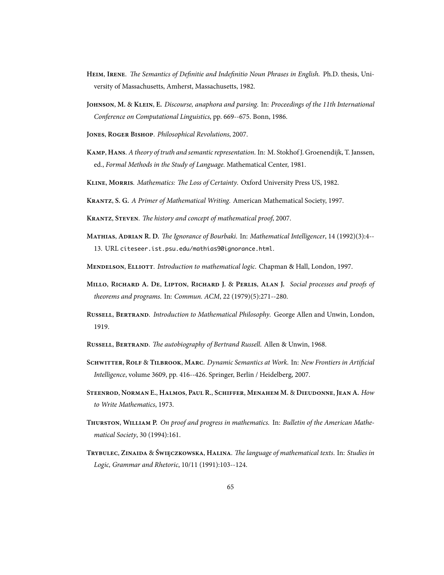- HEIM, IRENE. The Semantics of Definitie and Indefinitio Noun Phrases in English. Ph.D. thesis, University of Massachusetts, Amherst, Massachusetts, 1982.
- **J**, **M.** & **K**, **E.** *Discourse, anaphora and parsing*. In: *Proceedings of the 11th International Conference on Computational Linguistics*, pp. 669--675. Bonn, 1986.
- JONES, ROGER BISHOP. Philosophical Revolutions, 2007.
- **K**, **H**. *A theory of truth and semantic representation*. In: M. Stokhof J. Groenendijk, T. Janssen, ed., *Formal Methods in the Study of Language*. Mathematical Center, 1981.
- KLINE, MORRIS. Mathematics: The Loss of Certainty. Oxford University Press US, 1982.
- **K**, **S. G.** *A Primer of Mathematical Writing*. American Mathematical Society, 1997.
- **K**, **S**. *e history and concept of mathematical proof*, 2007.
- **M**, **A R. D.** *e Ignorance of Bourbaki*. In: *Mathematical Intelligencer*, 14 (1992)(3):4-- 13. URL citeseer.ist.psu.edu/mathias90ignorance.html.

**M**, **E**. *Introduction to mathematical logic*. Chapman & Hall, London, 1997.

- **M**, **R A. D**, **L**, **R J.** & **P**, **A J.** *Social processes and proofs of theorems and programs*. In: *Commun. ACM*, 22 (1979)(5):271--280.
- **R**, **B**. *Introduction to Mathematical Philosophy*. George Allen and Unwin, London, 1919.
- **R**, **B**. *e autobiography of Bertrand Russell*. Allen & Unwin, 1968.
- **S**, **R** & **T**, **M**. *Dynamic Semantics at Work*. In: *New Frontiers in Artificial Intelligence*, volume 3609, pp. 416--426. Springer, Berlin / Heidelberg, 2007.
- STEENROD, NORMAN E., HALMOS, PAUL R., SCHIFFER, MENAHEM M. & DIEUDONNE, JEAN A. How *to Write Mathematics*, 1973.
- **T**, **W P.** *On proof and progress in mathematics*. In: *Bulletin of the American Mathematical Society*, 30 (1994):161.
- **T**, **Z** & **Ś**, **H**. *e language of mathematical texts*. In: *Studies in Logic, Grammar and Rhetoric*, 10/11 (1991):103--124.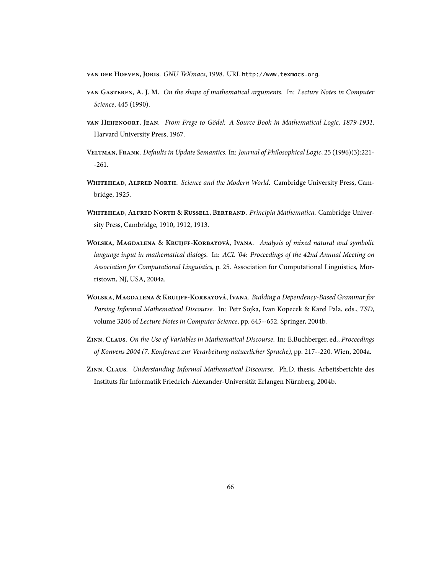VAN DER HOEVEN, JORIS. GNU TeXmacs, 1998. URL http://www.texmacs.org.

- **G**, **A. J. M.** *On the shape of mathematical arguments*. In: *Lecture Notes in Computer Science*, 445 (1990).
- **H**, **J**. *From Frege to Gödel: A Source Book in Mathematical Logic, 1879-1931*. Harvard University Press, 1967.
- **V**, **F**. *Defaults in Update Semantics*. In: *Journal of Philosophical Logic*, 25 (1996)(3):221- -261.
- WHITEHEAD, ALFRED NORTH. Science and the Modern World. Cambridge University Press, Cambridge, 1925.
- **WHITEHEAD, ALFRED NORTH & RUSSELL, BERTRAND.** Principia Mathematica. Cambridge University Press, Cambridge, 1910, 1912, 1913.
- WOLSKA, MAGDALENA & KRUIJFF-KORBAYOVÁ, IVANA. Analysis of mixed natural and symbolic *language input in mathematical dialogs*. In: *ACL '04: Proceedings of the 42nd Annual Meeting on Association for Computational Linguistics*, p. 25. Association for Computational Linguistics, Morristown, NJ, USA, 2004a.
- **W**, **M** & **K-K**, **I**. *Building a Dependency-Based Grammar for Parsing Informal Mathematical Discourse.* In: Petr Sojka, Ivan Kopecek & Karel Pala, eds., *TSD*, volume 3206 of *Lecture Notes in Computer Science*, pp. 645--652. Springer, 2004b.
- **Z**, **C**. *On the Use of Variables in Mathematical Discourse*. In: E.Buchberger, ed., *Proceedings of Konvens 2004 (7. Konferenz zur Verarbeitung natuerlicher Sprache)*, pp. 217--220. Wien, 2004a.
- **Z**, **C**. *Understanding Informal Mathematical Discourse*. Ph.D. thesis, Arbeitsberichte des Instituts für Informatik Friedrich-Alexander-Universität Erlangen Nürnberg, 2004b.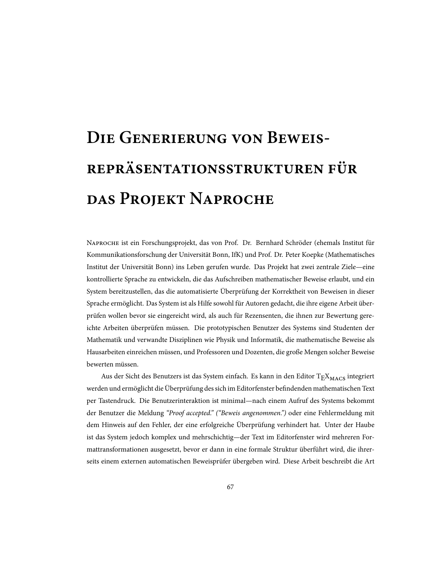# **DIE GENERIERUNG VON BEWEIS-REPRÄSENTATIONSSTRUKTUREN FÜR DAS PROJEKT NAPROCHE**

NAPROCHE ist ein Forschungsprojekt, das von Prof. Dr. Bernhard Schröder (ehemals Institut für Kommunikationsforschung der Universität Bonn, IfK) und Prof. Dr. Peter Koepke (Mathematisches Institut der Universität Bonn) ins Leben gerufen wurde. Das Projekt hat zwei zentrale Ziele—eine kontrollierte Sprache zu entwickeln, die das Aufschreiben mathematischer Beweise erlaubt, und ein System bereitzustellen, das die automatisierte Überprüfung der Korrektheit von Beweisen in dieser Sprache ermöglicht. Das System ist als Hilfe sowohl für Autoren gedacht, die ihre eigene Arbeit überprüfen wollen bevor sie eingereicht wird, als auch für Rezensenten, die ihnen zur Bewertung gereichte Arbeiten überprüfen müssen. Die prototypischen Benutzer des Systems sind Studenten der Mathematik und verwandte Disziplinen wie Physik und Informatik, die mathematische Beweise als Hausarbeiten einreichen müssen, und Professoren und Dozenten, die große Mengen solcher Beweise bewerten müssen.

Aus der Sicht des Benutzers ist das System einfach. Es kann in den Editor  $T_{\rm E}X_{\rm MACS}$  integriert werden und ermöglicht die Überprüfung des sich im Editorfenster befindenden mathematischen Text per Tastendruck. Die Benutzerinteraktion ist minimal—nach einem Aufruf des Systems bekommt der Benutzer die Meldung *"Proof accepted." ("Beweis angenommen.")* oder eine Fehlermeldung mit dem Hinweis auf den Fehler, der eine erfolgreiche Überprüfung verhindert hat. Unter der Haube ist das System jedoch komplex und mehrschichtig—der Text im Editorfenster wird mehreren Formattransformationen ausgesetzt, bevor er dann in eine formale Struktur überführt wird, die ihrerseits einem externen automatischen Beweisprüfer übergeben wird. Diese Arbeit beschreibt die Art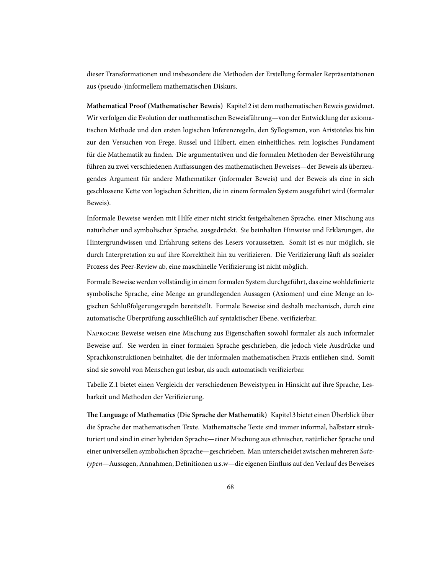dieser Transformationen und insbesondere die Methoden der Erstellung formaler Repräsentationen aus (pseudo-)informellem mathematischen Diskurs.

**Mathematical Proof (Mathematischer Beweis)** Kapitel 2 ist dem mathematischen Beweis gewidmet. Wir verfolgen die Evolution der mathematischen Beweisführung—von der Entwicklung der axiomatischen Methode und den ersten logischen Inferenzregeln, den Syllogismen, von Aristoteles bis hin zur den Versuchen von Frege, Russel und Hilbert, einen einheitliches, rein logisches Fundament für die Mathematik zu finden. Die argumentativen und die formalen Methoden der Beweisführung führen zu zwei verschiedenen Auffassungen des mathematischen Beweises—der Beweis als überzeugendes Argument für andere Mathematiker (informaler Beweis) und der Beweis als eine in sich geschlossene Kette von logischen Schritten, die in einem formalen System ausgeführt wird (formaler Beweis).

Informale Beweise werden mit Hilfe einer nicht strickt festgehaltenen Sprache, einer Mischung aus natürlicher und symbolischer Sprache, ausgedrückt. Sie beinhalten Hinweise und Erklärungen, die Hintergrundwissen und Erfahrung seitens des Lesers voraussetzen. Somit ist es nur möglich, sie durch Interpretation zu auf ihre Korrektheit hin zu verifizieren. Die Verifizierung läuft als sozialer Prozess des Peer-Review ab, eine maschinelle Verifizierung ist nicht möglich.

Formale Beweise werden vollständig in einem formalen System durchgeführt, das eine wohldefinierte symbolische Sprache, eine Menge an grundlegenden Aussagen (Axiomen) und eine Menge an logischen Schlußfolgerungsregeln bereitstellt. Formale Beweise sind deshalb mechanisch, durch eine automatische Überprüfung ausschließlich auf syntaktischer Ebene, verifizierbar.

NAPROCHE Beweise weisen eine Mischung aus Eigenschaften sowohl formaler als auch informaler Beweise auf. Sie werden in einer formalen Sprache geschrieben, die jedoch viele Ausdrücke und Sprachkonstruktionen beinhaltet, die der informalen mathematischen Praxis entliehen sind. Somit sind sie sowohl von Menschen gut lesbar, als auch automatisch verifizierbar.

Tabelle Z.1 bietet einen Vergleich der verschiedenen Beweistypen in Hinsicht auf ihre Sprache, Lesbarkeit und Methoden der Verifizierung.

**e Language of Mathematics (Die Sprache der Mathematik)** Kapitel 3 bietet einen Überblick über die Sprache der mathematischen Texte. Mathematische Texte sind immer informal, halbstarr strukturiert und sind in einer hybriden Sprache—einer Mischung aus ethnischer, natürlicher Sprache und einer universellen symbolischen Sprache—geschrieben. Man unterscheidet zwischen mehreren *Satztypen*—Aussagen, Annahmen, Definitionen u.s.w—die eigenen Einfluss auf den Verlauf des Beweises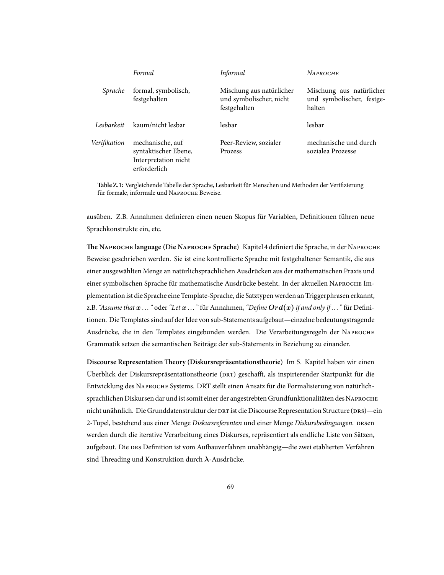|              | Formal                                                                           | Informal                                                            | <b>NAPROCHE</b>                                                 |
|--------------|----------------------------------------------------------------------------------|---------------------------------------------------------------------|-----------------------------------------------------------------|
| Sprache      | formal, symbolisch,<br>festgehalten                                              | Mischung aus natürlicher<br>und symbolischer, nicht<br>festgehalten | Mischung aus natürlicher<br>und symbolischer, festge-<br>halten |
| Lesbarkeit   | kaum/nicht lesbar                                                                | lesbar                                                              | lesbar                                                          |
| Verifikation | mechanische, auf<br>syntaktischer Ebene,<br>Interpretation nicht<br>erforderlich | Peer-Review, sozialer<br>Prozess                                    | mechanische und durch<br>sozialea Prozesse                      |

**Table Z.1:** Vergleichende Tabelle der Sprache, Lesbarkeit für Menschen und Methoden der Verifizierung für formale, informale und NAPROCHE Beweise.

ausüben. Z.B. Annahmen definieren einen neuen Skopus für Variablen, Definitionen führen neue Sprachkonstrukte ein, etc.

**e N language (Die N Sprache)** Kapitel 4 definiert die Sprache, in derN Beweise geschrieben werden. Sie ist eine kontrollierte Sprache mit festgehaltener Semantik, die aus einer ausgewählten Menge an natürlichsprachlichen Ausdrücken aus der mathematischen Praxis und einer symbolischen Sprache für mathematische Ausdrücke besteht. In der aktuellen NAPROCHE Implementation ist die Sprache eine Template-Sprache, die Satztypen werden an Triggerphrasen erkannt, z.B.*"Assume that x ... "* oder*"Let x ... "* für Annahmen,*"Define Ord***(***x***)** *if and only if ... "* für Definitionen. Die Templates sind auf der Idee von sub-Statements aufgebaut—einzelne bedeutungstragende Ausdrücke, die in den Templates eingebunden werden. Die Verarbeitungsregeln der N Grammatik setzen die semantischen Beiträge der sub-Statements in Beziehung zu einander.

**Discourse Representation Theory (Diskursrepräsentationstheorie)** Im 5. Kapitel haben wir einen Überblick der Diskursrepräsentationstheorie (DRT) geschafft, als inspirierender Startpunkt für die Entwicklung des NAPROCHE Systems. DRT stellt einen Ansatz für die Formalisierung von natürlichsprachlichen Diskursen dar und ist somit einer der angestrebten Grundfunktionalitäten des NAPROCHE nicht unähnlich. Die Grunddatenstruktur der DRT ist die Discourse Representation Structure (DRS)—ein 2-Tupel, bestehend aus einer Menge *Diskursreferenten* und einer Menge Diskursbedingungen. DRSen werden durch die iterative Verarbeitung eines Diskurses, repräsentiert als endliche Liste von Sätzen, aufgebaut. Die DRS Definition ist vom Aufbauverfahren unabhängig—die zwei etablierten Verfahren sind Threading und Konstruktion durch *λ*-Ausdrücke.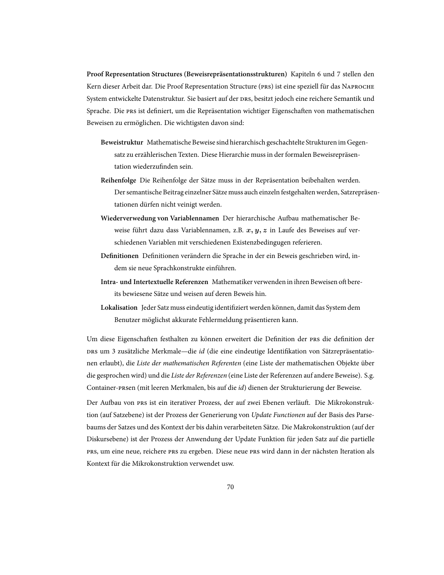**Proof Representation Structures (Beweisrepräsentationsstrukturen)** Kapiteln 6 und 7 stellen den Kern dieser Arbeit dar. Die Proof Representation Structure (PRS) ist eine speziell für das NAPROCHE System entwickelte Datenstruktur. Sie basiert auf der DRS, besitzt jedoch eine reichere Semantik und Sprache. Die PRS ist definiert, um die Repräsentation wichtiger Eigenschaften von mathematischen Beweisen zu ermöglichen. Die wichtigsten davon sind:

- **Beweistruktur** Mathematische Beweise sind hierarchisch geschachtelte Strukturen im Gegensatz zu erzählerischen Texten. Diese Hierarchie muss in der formalen Beweisrepräsentation wiederzufinden sein.
- **Reihenfolge** Die Reihenfolge der Sätze muss in der Repräsentation beibehalten werden. Der semantische Beitrag einzelner Sätze muss auch einzeln festgehalten werden, Satzrepräsentationen dürfen nicht veinigt werden.
- Wiederverwedung von Variablennamen Der hierarchische Aufbau mathematischer Beweise führt dazu dass Variablennamen, z.B. *x, y, z* in Laufe des Beweises auf verschiedenen Variablen mit verschiedenen Existenzbedingugen referieren.
- **Definitionen** Definitionen verändern die Sprache in der ein Beweis geschrieben wird, indem sie neue Sprachkonstrukte einführen.
- **Intra- und Intertextuelle Referenzen** Mathematiker verwenden in ihren Beweisen oft bereits bewiesene Sätze und weisen auf deren Beweis hin.
- **Lokalisation** Jeder Satz muss eindeutig identifiziert werden können, damit das System dem Benutzer möglichst akkurate Fehlermeldung präsentieren kann.

Um diese Eigenschaften festhalten zu können erweitert die Definition der PRS die definition der um 3 zusätzliche Merkmale—die *id* (die eine eindeutige Identifikation von Sätzrepräsentationen erlaubt), die *Liste der mathematischen Referenten* (eine Liste der mathematischen Objekte über die gesprochen wird) und die *Liste der Referenzen* (eine Liste der Referenzen auf andere Beweise). S.g. Container-en (mit leeren Merkmalen, bis auf die *id*) dienen der Strukturierung der Beweise.

Der Aufbau von PRS ist ein iterativer Prozess, der auf zwei Ebenen verläuft. Die Mikrokonstruktion (auf Satzebene) ist der Prozess der Generierung von *Update Functionen* auf der Basis des Parsebaums der Satzes und des Kontext der bis dahin verarbeiteten Sätze. Die Makrokonstruktion (auf der Diskursebene) ist der Prozess der Anwendung der Update Funktion für jeden Satz auf die partielle PRS, um eine neue, reichere PRS zu ergeben. Diese neue PRS wird dann in der nächsten Iteration als Kontext für die Mikrokonstruktion verwendet usw.